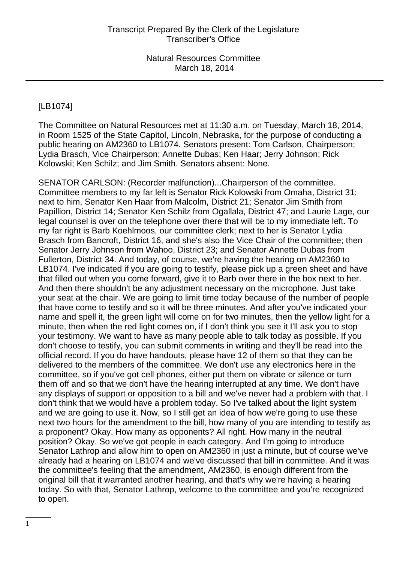# [LB1074]

The Committee on Natural Resources met at 11:30 a.m. on Tuesday, March 18, 2014, in Room 1525 of the State Capitol, Lincoln, Nebraska, for the purpose of conducting a public hearing on AM2360 to LB1074. Senators present: Tom Carlson, Chairperson; Lydia Brasch, Vice Chairperson; Annette Dubas; Ken Haar; Jerry Johnson; Rick Kolowski; Ken Schilz; and Jim Smith. Senators absent: None.

SENATOR CARLSON: (Recorder malfunction)...Chairperson of the committee. Committee members to my far left is Senator Rick Kolowski from Omaha, District 31; next to him, Senator Ken Haar from Malcolm, District 21; Senator Jim Smith from Papillion, District 14; Senator Ken Schilz from Ogallala, District 47; and Laurie Lage, our legal counsel is over on the telephone over there that will be to my immediate left. To my far right is Barb Koehlmoos, our committee clerk; next to her is Senator Lydia Brasch from Bancroft, District 16, and she's also the Vice Chair of the committee; then Senator Jerry Johnson from Wahoo, District 23; and Senator Annette Dubas from Fullerton, District 34. And today, of course, we're having the hearing on AM2360 to LB1074. I've indicated if you are going to testify, please pick up a green sheet and have that filled out when you come forward, give it to Barb over there in the box next to her. And then there shouldn't be any adjustment necessary on the microphone. Just take your seat at the chair. We are going to limit time today because of the number of people that have come to testify and so it will be three minutes. And after you've indicated your name and spell it, the green light will come on for two minutes, then the yellow light for a minute, then when the red light comes on, if I don't think you see it I'll ask you to stop your testimony. We want to have as many people able to talk today as possible. If you don't choose to testify, you can submit comments in writing and they'll be read into the official record. If you do have handouts, please have 12 of them so that they can be delivered to the members of the committee. We don't use any electronics here in the committee, so if you've got cell phones, either put them on vibrate or silence or turn them off and so that we don't have the hearing interrupted at any time. We don't have any displays of support or opposition to a bill and we've never had a problem with that. I don't think that we would have a problem today. So I've talked about the light system and we are going to use it. Now, so I still get an idea of how we're going to use these next two hours for the amendment to the bill, how many of you are intending to testify as a proponent? Okay. How many as opponents? All right. How many in the neutral position? Okay. So we've got people in each category. And I'm going to introduce Senator Lathrop and allow him to open on AM2360 in just a minute, but of course we've already had a hearing on LB1074 and we've discussed that bill in committee. And it was the committee's feeling that the amendment, AM2360, is enough different from the original bill that it warranted another hearing, and that's why we're having a hearing today. So with that, Senator Lathrop, welcome to the committee and you're recognized to open.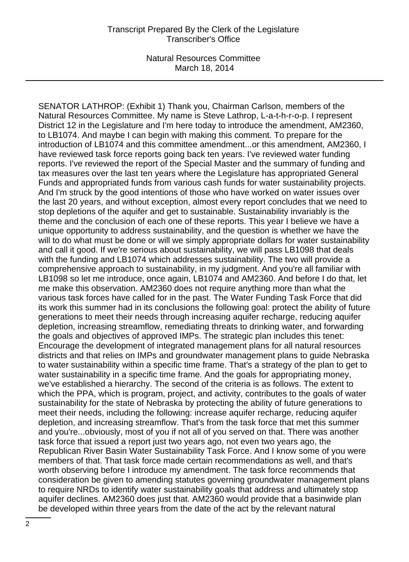Natural Resources Committee March 18, 2014

SENATOR LATHROP: (Exhibit 1) Thank you, Chairman Carlson, members of the Natural Resources Committee. My name is Steve Lathrop, L-a-t-h-r-o-p. I represent District 12 in the Legislature and I'm here today to introduce the amendment, AM2360, to LB1074. And maybe I can begin with making this comment. To prepare for the introduction of LB1074 and this committee amendment...or this amendment, AM2360, I have reviewed task force reports going back ten years. I've reviewed water funding reports. I've reviewed the report of the Special Master and the summary of funding and tax measures over the last ten years where the Legislature has appropriated General Funds and appropriated funds from various cash funds for water sustainability projects. And I'm struck by the good intentions of those who have worked on water issues over the last 20 years, and without exception, almost every report concludes that we need to stop depletions of the aquifer and get to sustainable. Sustainability invariably is the theme and the conclusion of each one of these reports. This year I believe we have a unique opportunity to address sustainability, and the question is whether we have the will to do what must be done or will we simply appropriate dollars for water sustainability and call it good. If we're serious about sustainability, we will pass LB1098 that deals with the funding and LB1074 which addresses sustainability. The two will provide a comprehensive approach to sustainability, in my judgment. And you're all familiar with LB1098 so let me introduce, once again, LB1074 and AM2360. And before I do that, let me make this observation. AM2360 does not require anything more than what the various task forces have called for in the past. The Water Funding Task Force that did its work this summer had in its conclusions the following goal: protect the ability of future generations to meet their needs through increasing aquifer recharge, reducing aquifer depletion, increasing streamflow, remediating threats to drinking water, and forwarding the goals and objectives of approved IMPs. The strategic plan includes this tenet: Encourage the development of integrated management plans for all natural resources districts and that relies on IMPs and groundwater management plans to guide Nebraska to water sustainability within a specific time frame. That's a strategy of the plan to get to water sustainability in a specific time frame. And the goals for appropriating money, we've established a hierarchy. The second of the criteria is as follows. The extent to which the PPA, which is program, project, and activity, contributes to the goals of water sustainability for the state of Nebraska by protecting the ability of future generations to meet their needs, including the following: increase aquifer recharge, reducing aquifer depletion, and increasing streamflow. That's from the task force that met this summer and you're...obviously, most of you if not all of you served on that. There was another task force that issued a report just two years ago, not even two years ago, the Republican River Basin Water Sustainability Task Force. And I know some of you were members of that. That task force made certain recommendations as well, and that's worth observing before I introduce my amendment. The task force recommends that consideration be given to amending statutes governing groundwater management plans to require NRDs to identify water sustainability goals that address and ultimately stop aquifer declines. AM2360 does just that. AM2360 would provide that a basinwide plan be developed within three years from the date of the act by the relevant natural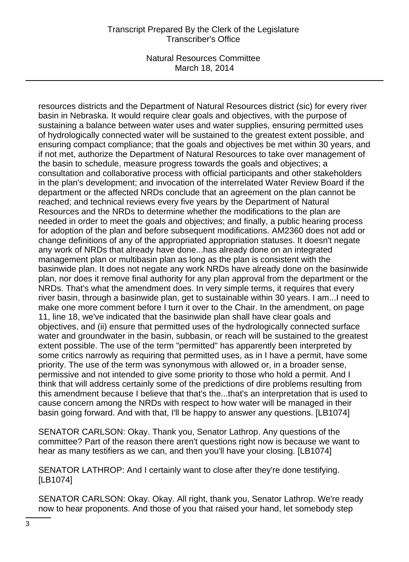Natural Resources Committee March 18, 2014

resources districts and the Department of Natural Resources district (sic) for every river basin in Nebraska. It would require clear goals and objectives, with the purpose of sustaining a balance between water uses and water supplies, ensuring permitted uses of hydrologically connected water will be sustained to the greatest extent possible, and ensuring compact compliance; that the goals and objectives be met within 30 years, and if not met, authorize the Department of Natural Resources to take over management of the basin to schedule, measure progress towards the goals and objectives; a consultation and collaborative process with official participants and other stakeholders in the plan's development; and invocation of the interrelated Water Review Board if the department or the affected NRDs conclude that an agreement on the plan cannot be reached; and technical reviews every five years by the Department of Natural Resources and the NRDs to determine whether the modifications to the plan are needed in order to meet the goals and objectives; and finally, a public hearing process for adoption of the plan and before subsequent modifications. AM2360 does not add or change definitions of any of the appropriated appropriation statuses. It doesn't negate any work of NRDs that already have done...has already done on an integrated management plan or multibasin plan as long as the plan is consistent with the basinwide plan. It does not negate any work NRDs have already done on the basinwide plan, nor does it remove final authority for any plan approval from the department or the NRDs. That's what the amendment does. In very simple terms, it requires that every river basin, through a basinwide plan, get to sustainable within 30 years. I am...I need to make one more comment before I turn it over to the Chair. In the amendment, on page 11, line 18, we've indicated that the basinwide plan shall have clear goals and objectives, and (ii) ensure that permitted uses of the hydrologically connected surface water and groundwater in the basin, subbasin, or reach will be sustained to the greatest extent possible. The use of the term "permitted" has apparently been interpreted by some critics narrowly as requiring that permitted uses, as in I have a permit, have some priority. The use of the term was synonymous with allowed or, in a broader sense, permissive and not intended to give some priority to those who hold a permit. And I think that will address certainly some of the predictions of dire problems resulting from this amendment because I believe that that's the...that's an interpretation that is used to cause concern among the NRDs with respect to how water will be managed in their basin going forward. And with that, I'll be happy to answer any questions. [LB1074]

SENATOR CARLSON: Okay. Thank you, Senator Lathrop. Any questions of the committee? Part of the reason there aren't questions right now is because we want to hear as many testifiers as we can, and then you'll have your closing. [LB1074]

SENATOR LATHROP: And I certainly want to close after they're done testifying. [LB1074]

SENATOR CARLSON: Okay. Okay. All right, thank you, Senator Lathrop. We're ready now to hear proponents. And those of you that raised your hand, let somebody step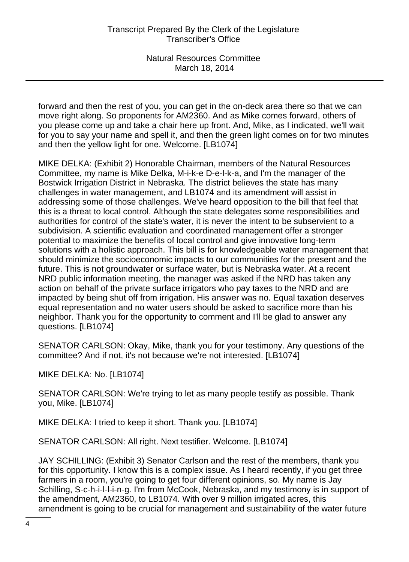forward and then the rest of you, you can get in the on-deck area there so that we can move right along. So proponents for AM2360. And as Mike comes forward, others of you please come up and take a chair here up front. And, Mike, as I indicated, we'll wait for you to say your name and spell it, and then the green light comes on for two minutes and then the yellow light for one. Welcome. [LB1074]

MIKE DELKA: (Exhibit 2) Honorable Chairman, members of the Natural Resources Committee, my name is Mike Delka, M-i-k-e D-e-l-k-a, and I'm the manager of the Bostwick Irrigation District in Nebraska. The district believes the state has many challenges in water management, and LB1074 and its amendment will assist in addressing some of those challenges. We've heard opposition to the bill that feel that this is a threat to local control. Although the state delegates some responsibilities and authorities for control of the state's water, it is never the intent to be subservient to a subdivision. A scientific evaluation and coordinated management offer a stronger potential to maximize the benefits of local control and give innovative long-term solutions with a holistic approach. This bill is for knowledgeable water management that should minimize the socioeconomic impacts to our communities for the present and the future. This is not groundwater or surface water, but is Nebraska water. At a recent NRD public information meeting, the manager was asked if the NRD has taken any action on behalf of the private surface irrigators who pay taxes to the NRD and are impacted by being shut off from irrigation. His answer was no. Equal taxation deserves equal representation and no water users should be asked to sacrifice more than his neighbor. Thank you for the opportunity to comment and I'll be glad to answer any questions. [LB1074]

SENATOR CARLSON: Okay, Mike, thank you for your testimony. Any questions of the committee? And if not, it's not because we're not interested. [LB1074]

MIKE DELKA: No. [LB1074]

SENATOR CARLSON: We're trying to let as many people testify as possible. Thank you, Mike. [LB1074]

MIKE DELKA: I tried to keep it short. Thank you. [LB1074]

SENATOR CARLSON: All right. Next testifier. Welcome. [LB1074]

JAY SCHILLING: (Exhibit 3) Senator Carlson and the rest of the members, thank you for this opportunity. I know this is a complex issue. As I heard recently, if you get three farmers in a room, you're going to get four different opinions, so. My name is Jay Schilling, S-c-h-i-l-l-i-n-g. I'm from McCook, Nebraska, and my testimony is in support of the amendment, AM2360, to LB1074. With over 9 million irrigated acres, this amendment is going to be crucial for management and sustainability of the water future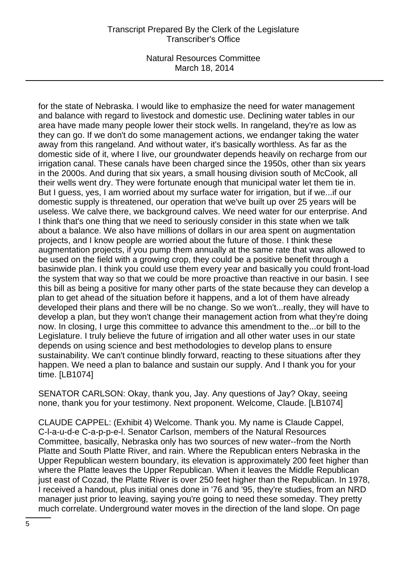Natural Resources Committee March 18, 2014

for the state of Nebraska. I would like to emphasize the need for water management and balance with regard to livestock and domestic use. Declining water tables in our area have made many people lower their stock wells. In rangeland, they're as low as they can go. If we don't do some management actions, we endanger taking the water away from this rangeland. And without water, it's basically worthless. As far as the domestic side of it, where I live, our groundwater depends heavily on recharge from our irrigation canal. These canals have been charged since the 1950s, other than six years in the 2000s. And during that six years, a small housing division south of McCook, all their wells went dry. They were fortunate enough that municipal water let them tie in. But I guess, yes, I am worried about my surface water for irrigation, but if we...if our domestic supply is threatened, our operation that we've built up over 25 years will be useless. We calve there, we background calves. We need water for our enterprise. And I think that's one thing that we need to seriously consider in this state when we talk about a balance. We also have millions of dollars in our area spent on augmentation projects, and I know people are worried about the future of those. I think these augmentation projects, if you pump them annually at the same rate that was allowed to be used on the field with a growing crop, they could be a positive benefit through a basinwide plan. I think you could use them every year and basically you could front-load the system that way so that we could be more proactive than reactive in our basin. I see this bill as being a positive for many other parts of the state because they can develop a plan to get ahead of the situation before it happens, and a lot of them have already developed their plans and there will be no change. So we won't...really, they will have to develop a plan, but they won't change their management action from what they're doing now. In closing, I urge this committee to advance this amendment to the...or bill to the Legislature. I truly believe the future of irrigation and all other water uses in our state depends on using science and best methodologies to develop plans to ensure sustainability. We can't continue blindly forward, reacting to these situations after they happen. We need a plan to balance and sustain our supply. And I thank you for your time. [LB1074]

SENATOR CARLSON: Okay, thank you, Jay. Any questions of Jay? Okay, seeing none, thank you for your testimony. Next proponent. Welcome, Claude. [LB1074]

CLAUDE CAPPEL: (Exhibit 4) Welcome. Thank you. My name is Claude Cappel, C-l-a-u-d-e C-a-p-p-e-l. Senator Carlson, members of the Natural Resources Committee, basically, Nebraska only has two sources of new water--from the North Platte and South Platte River, and rain. Where the Republican enters Nebraska in the Upper Republican western boundary, its elevation is approximately 200 feet higher than where the Platte leaves the Upper Republican. When it leaves the Middle Republican just east of Cozad, the Platte River is over 250 feet higher than the Republican. In 1978, I received a handout, plus initial ones done in '76 and '95, they're studies, from an NRD manager just prior to leaving, saying you're going to need these someday. They pretty much correlate. Underground water moves in the direction of the land slope. On page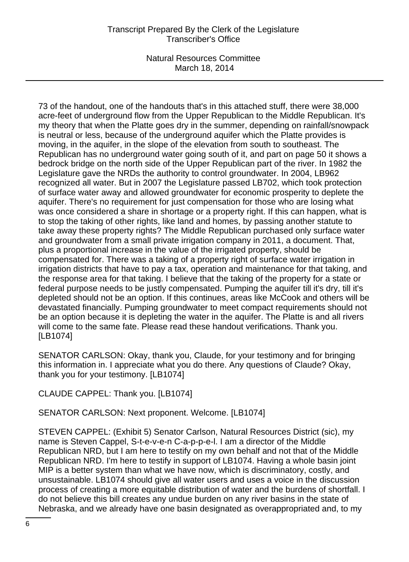Natural Resources Committee March 18, 2014

73 of the handout, one of the handouts that's in this attached stuff, there were 38,000 acre-feet of underground flow from the Upper Republican to the Middle Republican. It's my theory that when the Platte goes dry in the summer, depending on rainfall/snowpack is neutral or less, because of the underground aquifer which the Platte provides is moving, in the aquifer, in the slope of the elevation from south to southeast. The Republican has no underground water going south of it, and part on page 50 it shows a bedrock bridge on the north side of the Upper Republican part of the river. In 1982 the Legislature gave the NRDs the authority to control groundwater. In 2004, LB962 recognized all water. But in 2007 the Legislature passed LB702, which took protection of surface water away and allowed groundwater for economic prosperity to deplete the aquifer. There's no requirement for just compensation for those who are losing what was once considered a share in shortage or a property right. If this can happen, what is to stop the taking of other rights, like land and homes, by passing another statute to take away these property rights? The Middle Republican purchased only surface water and groundwater from a small private irrigation company in 2011, a document. That, plus a proportional increase in the value of the irrigated property, should be compensated for. There was a taking of a property right of surface water irrigation in irrigation districts that have to pay a tax, operation and maintenance for that taking, and the response area for that taking. I believe that the taking of the property for a state or federal purpose needs to be justly compensated. Pumping the aquifer till it's dry, till it's depleted should not be an option. If this continues, areas like McCook and others will be devastated financially. Pumping groundwater to meet compact requirements should not be an option because it is depleting the water in the aquifer. The Platte is and all rivers will come to the same fate. Please read these handout verifications. Thank you. [LB1074]

SENATOR CARLSON: Okay, thank you, Claude, for your testimony and for bringing this information in. I appreciate what you do there. Any questions of Claude? Okay, thank you for your testimony. [LB1074]

CLAUDE CAPPEL: Thank you. [LB1074]

SENATOR CARLSON: Next proponent. Welcome. [LB1074]

STEVEN CAPPEL: (Exhibit 5) Senator Carlson, Natural Resources District (sic), my name is Steven Cappel, S-t-e-v-e-n C-a-p-p-e-l. I am a director of the Middle Republican NRD, but I am here to testify on my own behalf and not that of the Middle Republican NRD. I'm here to testify in support of LB1074. Having a whole basin joint MIP is a better system than what we have now, which is discriminatory, costly, and unsustainable. LB1074 should give all water users and uses a voice in the discussion process of creating a more equitable distribution of water and the burdens of shortfall. I do not believe this bill creates any undue burden on any river basins in the state of Nebraska, and we already have one basin designated as overappropriated and, to my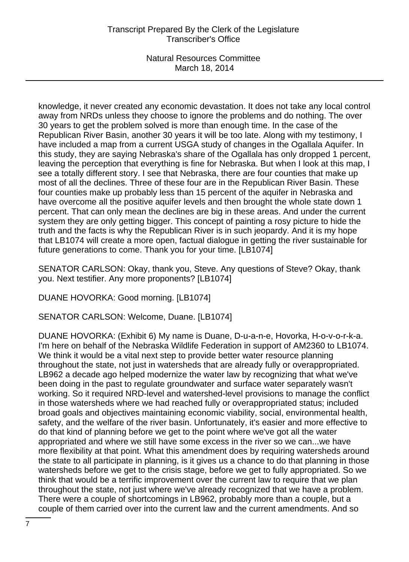Natural Resources Committee March 18, 2014

knowledge, it never created any economic devastation. It does not take any local control away from NRDs unless they choose to ignore the problems and do nothing. The over 30 years to get the problem solved is more than enough time. In the case of the Republican River Basin, another 30 years it will be too late. Along with my testimony, I have included a map from a current USGA study of changes in the Ogallala Aquifer. In this study, they are saying Nebraska's share of the Ogallala has only dropped 1 percent, leaving the perception that everything is fine for Nebraska. But when I look at this map, I see a totally different story. I see that Nebraska, there are four counties that make up most of all the declines. Three of these four are in the Republican River Basin. These four counties make up probably less than 15 percent of the aquifer in Nebraska and have overcome all the positive aquifer levels and then brought the whole state down 1 percent. That can only mean the declines are big in these areas. And under the current system they are only getting bigger. This concept of painting a rosy picture to hide the truth and the facts is why the Republican River is in such jeopardy. And it is my hope that LB1074 will create a more open, factual dialogue in getting the river sustainable for future generations to come. Thank you for your time. [LB1074]

SENATOR CARLSON: Okay, thank you, Steve. Any questions of Steve? Okay, thank you. Next testifier. Any more proponents? [LB1074]

DUANE HOVORKA: Good morning. [LB1074]

SENATOR CARLSON: Welcome, Duane. [LB1074]

DUANE HOVORKA: (Exhibit 6) My name is Duane, D-u-a-n-e, Hovorka, H-o-v-o-r-k-a. I'm here on behalf of the Nebraska Wildlife Federation in support of AM2360 to LB1074. We think it would be a vital next step to provide better water resource planning throughout the state, not just in watersheds that are already fully or overappropriated. LB962 a decade ago helped modernize the water law by recognizing that what we've been doing in the past to regulate groundwater and surface water separately wasn't working. So it required NRD-level and watershed-level provisions to manage the conflict in those watersheds where we had reached fully or overappropriated status; included broad goals and objectives maintaining economic viability, social, environmental health, safety, and the welfare of the river basin. Unfortunately, it's easier and more effective to do that kind of planning before we get to the point where we've got all the water appropriated and where we still have some excess in the river so we can...we have more flexibility at that point. What this amendment does by requiring watersheds around the state to all participate in planning, is it gives us a chance to do that planning in those watersheds before we get to the crisis stage, before we get to fully appropriated. So we think that would be a terrific improvement over the current law to require that we plan throughout the state, not just where we've already recognized that we have a problem. There were a couple of shortcomings in LB962, probably more than a couple, but a couple of them carried over into the current law and the current amendments. And so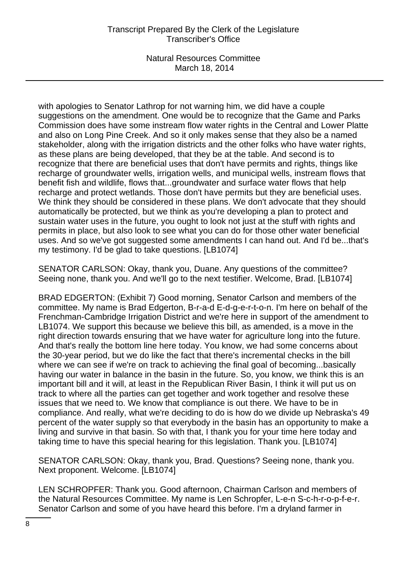Natural Resources Committee March 18, 2014

with apologies to Senator Lathrop for not warning him, we did have a couple suggestions on the amendment. One would be to recognize that the Game and Parks Commission does have some instream flow water rights in the Central and Lower Platte and also on Long Pine Creek. And so it only makes sense that they also be a named stakeholder, along with the irrigation districts and the other folks who have water rights, as these plans are being developed, that they be at the table. And second is to recognize that there are beneficial uses that don't have permits and rights, things like recharge of groundwater wells, irrigation wells, and municipal wells, instream flows that benefit fish and wildlife, flows that...groundwater and surface water flows that help recharge and protect wetlands. Those don't have permits but they are beneficial uses. We think they should be considered in these plans. We don't advocate that they should automatically be protected, but we think as you're developing a plan to protect and sustain water uses in the future, you ought to look not just at the stuff with rights and permits in place, but also look to see what you can do for those other water beneficial uses. And so we've got suggested some amendments I can hand out. And I'd be...that's my testimony. I'd be glad to take questions. [LB1074]

SENATOR CARLSON: Okay, thank you, Duane. Any questions of the committee? Seeing none, thank you. And we'll go to the next testifier. Welcome, Brad. [LB1074]

BRAD EDGERTON: (Exhibit 7) Good morning, Senator Carlson and members of the committee. My name is Brad Edgerton, B-r-a-d E-d-g-e-r-t-o-n. I'm here on behalf of the Frenchman-Cambridge Irrigation District and we're here in support of the amendment to LB1074. We support this because we believe this bill, as amended, is a move in the right direction towards ensuring that we have water for agriculture long into the future. And that's really the bottom line here today. You know, we had some concerns about the 30-year period, but we do like the fact that there's incremental checks in the bill where we can see if we're on track to achieving the final goal of becoming...basically having our water in balance in the basin in the future. So, you know, we think this is an important bill and it will, at least in the Republican River Basin, I think it will put us on track to where all the parties can get together and work together and resolve these issues that we need to. We know that compliance is out there. We have to be in compliance. And really, what we're deciding to do is how do we divide up Nebraska's 49 percent of the water supply so that everybody in the basin has an opportunity to make a living and survive in that basin. So with that, I thank you for your time here today and taking time to have this special hearing for this legislation. Thank you. [LB1074]

SENATOR CARLSON: Okay, thank you, Brad. Questions? Seeing none, thank you. Next proponent. Welcome. [LB1074]

LEN SCHROPFER: Thank you. Good afternoon, Chairman Carlson and members of the Natural Resources Committee. My name is Len Schropfer, L-e-n S-c-h-r-o-p-f-e-r. Senator Carlson and some of you have heard this before. I'm a dryland farmer in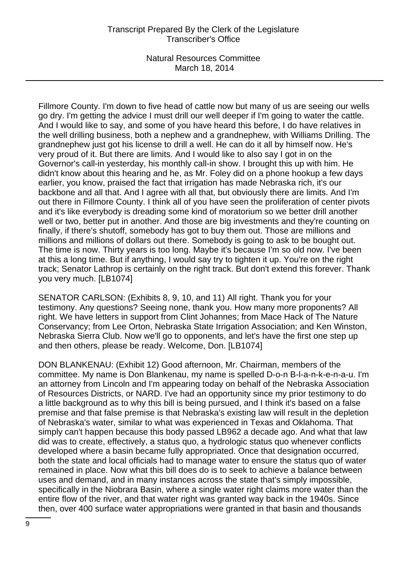Natural Resources Committee March 18, 2014

Fillmore County. I'm down to five head of cattle now but many of us are seeing our wells go dry. I'm getting the advice I must drill our well deeper if I'm going to water the cattle. And I would like to say, and some of you have heard this before, I do have relatives in the well drilling business, both a nephew and a grandnephew, with Williams Drilling. The grandnephew just got his license to drill a well. He can do it all by himself now. He's very proud of it. But there are limits. And I would like to also say I got in on the Governor's call-in yesterday, his monthly call-in show. I brought this up with him. He didn't know about this hearing and he, as Mr. Foley did on a phone hookup a few days earlier, you know, praised the fact that irrigation has made Nebraska rich, it's our backbone and all that. And I agree with all that, but obviously there are limits. And I'm out there in Fillmore County. I think all of you have seen the proliferation of center pivots and it's like everybody is dreading some kind of moratorium so we better drill another well or two, better put in another. And those are big investments and they're counting on finally, if there's shutoff, somebody has got to buy them out. Those are millions and millions and millions of dollars out there. Somebody is going to ask to be bought out. The time is now. Thirty years is too long. Maybe it's because I'm so old now. I've been at this a long time. But if anything, I would say try to tighten it up. You're on the right track; Senator Lathrop is certainly on the right track. But don't extend this forever. Thank you very much. [LB1074]

SENATOR CARLSON: (Exhibits 8, 9, 10, and 11) All right. Thank you for your testimony. Any questions? Seeing none, thank you. How many more proponents? All right. We have letters in support from Clint Johannes; from Mace Hack of The Nature Conservancy; from Lee Orton, Nebraska State Irrigation Association; and Ken Winston, Nebraska Sierra Club. Now we'll go to opponents, and let's have the first one step up and then others, please be ready. Welcome, Don. [LB1074]

DON BLANKENAU: (Exhibit 12) Good afternoon, Mr. Chairman, members of the committee. My name is Don Blankenau, my name is spelled D-o-n B-l-a-n-k-e-n-a-u. I'm an attorney from Lincoln and I'm appearing today on behalf of the Nebraska Association of Resources Districts, or NARD. I've had an opportunity since my prior testimony to do a little background as to why this bill is being pursued, and I think it's based on a false premise and that false premise is that Nebraska's existing law will result in the depletion of Nebraska's water, similar to what was experienced in Texas and Oklahoma. That simply can't happen because this body passed LB962 a decade ago. And what that law did was to create, effectively, a status quo, a hydrologic status quo whenever conflicts developed where a basin became fully appropriated. Once that designation occurred, both the state and local officials had to manage water to ensure the status quo of water remained in place. Now what this bill does do is to seek to achieve a balance between uses and demand, and in many instances across the state that's simply impossible, specifically in the Niobrara Basin, where a single water right claims more water than the entire flow of the river, and that water right was granted way back in the 1940s. Since then, over 400 surface water appropriations were granted in that basin and thousands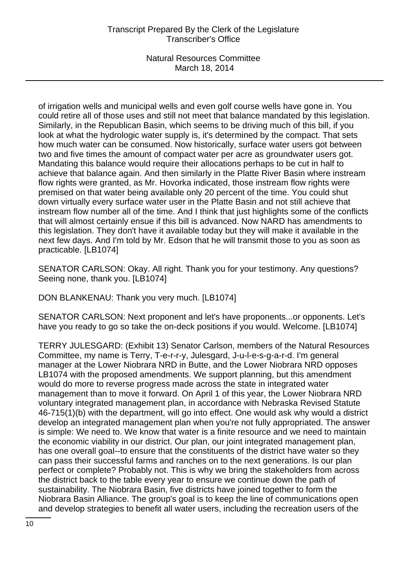Natural Resources Committee March 18, 2014

of irrigation wells and municipal wells and even golf course wells have gone in. You could retire all of those uses and still not meet that balance mandated by this legislation. Similarly, in the Republican Basin, which seems to be driving much of this bill, if you look at what the hydrologic water supply is, it's determined by the compact. That sets how much water can be consumed. Now historically, surface water users got between two and five times the amount of compact water per acre as groundwater users got. Mandating this balance would require their allocations perhaps to be cut in half to achieve that balance again. And then similarly in the Platte River Basin where instream flow rights were granted, as Mr. Hovorka indicated, those instream flow rights were premised on that water being available only 20 percent of the time. You could shut down virtually every surface water user in the Platte Basin and not still achieve that instream flow number all of the time. And I think that just highlights some of the conflicts that will almost certainly ensue if this bill is advanced. Now NARD has amendments to this legislation. They don't have it available today but they will make it available in the next few days. And I'm told by Mr. Edson that he will transmit those to you as soon as practicable. [LB1074]

SENATOR CARLSON: Okay. All right. Thank you for your testimony. Any questions? Seeing none, thank you. [LB1074]

DON BLANKENAU: Thank you very much. [LB1074]

SENATOR CARLSON: Next proponent and let's have proponents...or opponents. Let's have you ready to go so take the on-deck positions if you would. Welcome. [LB1074]

TERRY JULESGARD: (Exhibit 13) Senator Carlson, members of the Natural Resources Committee, my name is Terry, T-e-r-r-y, Julesgard, J-u-l-e-s-g-a-r-d. I'm general manager at the Lower Niobrara NRD in Butte, and the Lower Niobrara NRD opposes LB1074 with the proposed amendments. We support planning, but this amendment would do more to reverse progress made across the state in integrated water management than to move it forward. On April 1 of this year, the Lower Niobrara NRD voluntary integrated management plan, in accordance with Nebraska Revised Statute 46-715(1)(b) with the department, will go into effect. One would ask why would a district develop an integrated management plan when you're not fully appropriated. The answer is simple: We need to. We know that water is a finite resource and we need to maintain the economic viability in our district. Our plan, our joint integrated management plan, has one overall goal--to ensure that the constituents of the district have water so they can pass their successful farms and ranches on to the next generations. Is our plan perfect or complete? Probably not. This is why we bring the stakeholders from across the district back to the table every year to ensure we continue down the path of sustainability. The Niobrara Basin, five districts have joined together to form the Niobrara Basin Alliance. The group's goal is to keep the line of communications open and develop strategies to benefit all water users, including the recreation users of the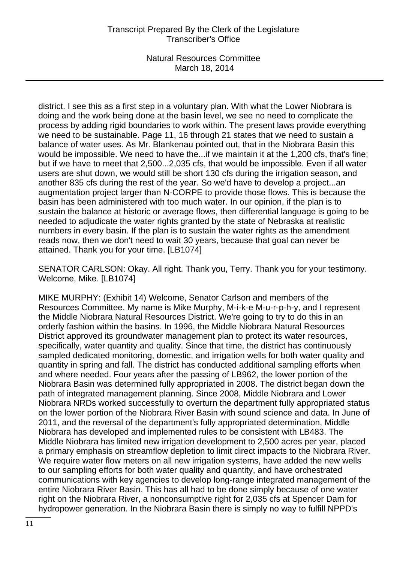district. I see this as a first step in a voluntary plan. With what the Lower Niobrara is doing and the work being done at the basin level, we see no need to complicate the process by adding rigid boundaries to work within. The present laws provide everything we need to be sustainable. Page 11, 16 through 21 states that we need to sustain a balance of water uses. As Mr. Blankenau pointed out, that in the Niobrara Basin this would be impossible. We need to have the...if we maintain it at the 1,200 cfs, that's fine; but if we have to meet that 2,500...2,035 cfs, that would be impossible. Even if all water users are shut down, we would still be short 130 cfs during the irrigation season, and another 835 cfs during the rest of the year. So we'd have to develop a project...an augmentation project larger than N-CORPE to provide those flows. This is because the basin has been administered with too much water. In our opinion, if the plan is to sustain the balance at historic or average flows, then differential language is going to be needed to adjudicate the water rights granted by the state of Nebraska at realistic numbers in every basin. If the plan is to sustain the water rights as the amendment reads now, then we don't need to wait 30 years, because that goal can never be attained. Thank you for your time. [LB1074]

SENATOR CARLSON: Okay. All right. Thank you, Terry. Thank you for your testimony. Welcome, Mike. [LB1074]

MIKE MURPHY: (Exhibit 14) Welcome, Senator Carlson and members of the Resources Committee. My name is Mike Murphy, M-i-k-e M-u-r-p-h-y, and I represent the Middle Niobrara Natural Resources District. We're going to try to do this in an orderly fashion within the basins. In 1996, the Middle Niobrara Natural Resources District approved its groundwater management plan to protect its water resources, specifically, water quantity and quality. Since that time, the district has continuously sampled dedicated monitoring, domestic, and irrigation wells for both water quality and quantity in spring and fall. The district has conducted additional sampling efforts when and where needed. Four years after the passing of LB962, the lower portion of the Niobrara Basin was determined fully appropriated in 2008. The district began down the path of integrated management planning. Since 2008, Middle Niobrara and Lower Niobrara NRDs worked successfully to overturn the department fully appropriated status on the lower portion of the Niobrara River Basin with sound science and data. In June of 2011, and the reversal of the department's fully appropriated determination, Middle Niobrara has developed and implemented rules to be consistent with LB483. The Middle Niobrara has limited new irrigation development to 2,500 acres per year, placed a primary emphasis on streamflow depletion to limit direct impacts to the Niobrara River. We require water flow meters on all new irrigation systems, have added the new wells to our sampling efforts for both water quality and quantity, and have orchestrated communications with key agencies to develop long-range integrated management of the entire Niobrara River Basin. This has all had to be done simply because of one water right on the Niobrara River, a nonconsumptive right for 2,035 cfs at Spencer Dam for hydropower generation. In the Niobrara Basin there is simply no way to fulfill NPPD's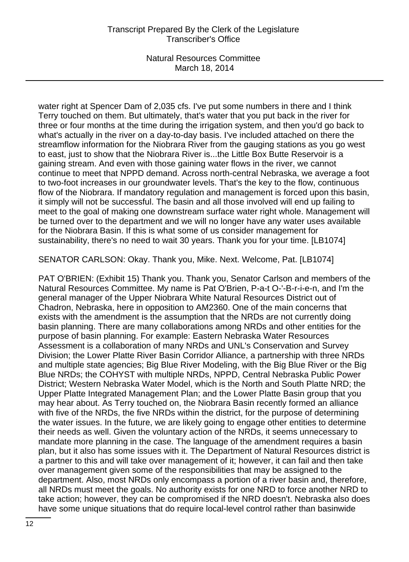water right at Spencer Dam of 2,035 cfs. I've put some numbers in there and I think Terry touched on them. But ultimately, that's water that you put back in the river for three or four months at the time during the irrigation system, and then you'd go back to what's actually in the river on a day-to-day basis. I've included attached on there the streamflow information for the Niobrara River from the gauging stations as you go west to east, just to show that the Niobrara River is...the Little Box Butte Reservoir is a gaining stream. And even with those gaining water flows in the river, we cannot continue to meet that NPPD demand. Across north-central Nebraska, we average a foot to two-foot increases in our groundwater levels. That's the key to the flow, continuous flow of the Niobrara. If mandatory regulation and management is forced upon this basin, it simply will not be successful. The basin and all those involved will end up failing to meet to the goal of making one downstream surface water right whole. Management will be turned over to the department and we will no longer have any water uses available for the Niobrara Basin. If this is what some of us consider management for sustainability, there's no need to wait 30 years. Thank you for your time. [LB1074]

SENATOR CARLSON: Okay. Thank you, Mike. Next. Welcome, Pat. [LB1074]

PAT O'BRIEN: (Exhibit 15) Thank you. Thank you, Senator Carlson and members of the Natural Resources Committee. My name is Pat O'Brien, P-a-t O-'-B-r-i-e-n, and I'm the general manager of the Upper Niobrara White Natural Resources District out of Chadron, Nebraska, here in opposition to AM2360. One of the main concerns that exists with the amendment is the assumption that the NRDs are not currently doing basin planning. There are many collaborations among NRDs and other entities for the purpose of basin planning. For example: Eastern Nebraska Water Resources Assessment is a collaboration of many NRDs and UNL's Conservation and Survey Division; the Lower Platte River Basin Corridor Alliance, a partnership with three NRDs and multiple state agencies; Big Blue River Modeling, with the Big Blue River or the Big Blue NRDs; the COHYST with multiple NRDs, NPPD, Central Nebraska Public Power District; Western Nebraska Water Model, which is the North and South Platte NRD; the Upper Platte Integrated Management Plan; and the Lower Platte Basin group that you may hear about. As Terry touched on, the Niobrara Basin recently formed an alliance with five of the NRDs, the five NRDs within the district, for the purpose of determining the water issues. In the future, we are likely going to engage other entities to determine their needs as well. Given the voluntary action of the NRDs, it seems unnecessary to mandate more planning in the case. The language of the amendment requires a basin plan, but it also has some issues with it. The Department of Natural Resources district is a partner to this and will take over management of it; however, it can fail and then take over management given some of the responsibilities that may be assigned to the department. Also, most NRDs only encompass a portion of a river basin and, therefore, all NRDs must meet the goals. No authority exists for one NRD to force another NRD to take action; however, they can be compromised if the NRD doesn't. Nebraska also does have some unique situations that do require local-level control rather than basinwide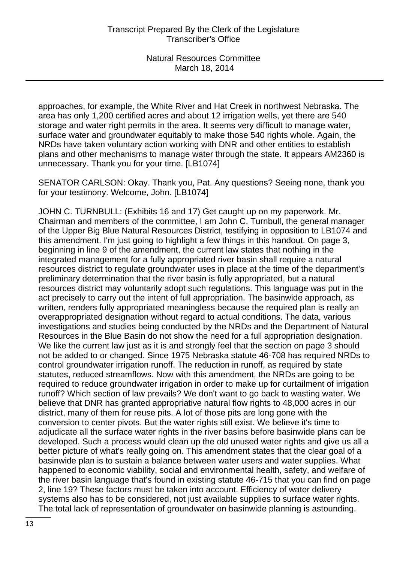approaches, for example, the White River and Hat Creek in northwest Nebraska. The area has only 1,200 certified acres and about 12 irrigation wells, yet there are 540 storage and water right permits in the area. It seems very difficult to manage water, surface water and groundwater equitably to make those 540 rights whole. Again, the NRDs have taken voluntary action working with DNR and other entities to establish plans and other mechanisms to manage water through the state. It appears AM2360 is unnecessary. Thank you for your time. [LB1074]

SENATOR CARLSON: Okay. Thank you, Pat. Any questions? Seeing none, thank you for your testimony. Welcome, John. [LB1074]

JOHN C. TURNBULL: (Exhibits 16 and 17) Get caught up on my paperwork. Mr. Chairman and members of the committee, I am John C. Turnbull, the general manager of the Upper Big Blue Natural Resources District, testifying in opposition to LB1074 and this amendment. I'm just going to highlight a few things in this handout. On page 3, beginning in line 9 of the amendment, the current law states that nothing in the integrated management for a fully appropriated river basin shall require a natural resources district to regulate groundwater uses in place at the time of the department's preliminary determination that the river basin is fully appropriated, but a natural resources district may voluntarily adopt such regulations. This language was put in the act precisely to carry out the intent of full appropriation. The basinwide approach, as written, renders fully appropriated meaningless because the required plan is really an overappropriated designation without regard to actual conditions. The data, various investigations and studies being conducted by the NRDs and the Department of Natural Resources in the Blue Basin do not show the need for a full appropriation designation. We like the current law just as it is and strongly feel that the section on page 3 should not be added to or changed. Since 1975 Nebraska statute 46-708 has required NRDs to control groundwater irrigation runoff. The reduction in runoff, as required by state statutes, reduced streamflows. Now with this amendment, the NRDs are going to be required to reduce groundwater irrigation in order to make up for curtailment of irrigation runoff? Which section of law prevails? We don't want to go back to wasting water. We believe that DNR has granted appropriative natural flow rights to 48,000 acres in our district, many of them for reuse pits. A lot of those pits are long gone with the conversion to center pivots. But the water rights still exist. We believe it's time to adjudicate all the surface water rights in the river basins before basinwide plans can be developed. Such a process would clean up the old unused water rights and give us all a better picture of what's really going on. This amendment states that the clear goal of a basinwide plan is to sustain a balance between water users and water supplies. What happened to economic viability, social and environmental health, safety, and welfare of the river basin language that's found in existing statute 46-715 that you can find on page 2, line 19? These factors must be taken into account. Efficiency of water delivery systems also has to be considered, not just available supplies to surface water rights. The total lack of representation of groundwater on basinwide planning is astounding.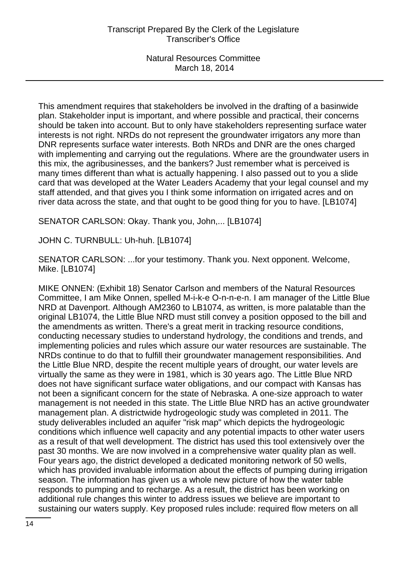This amendment requires that stakeholders be involved in the drafting of a basinwide plan. Stakeholder input is important, and where possible and practical, their concerns should be taken into account. But to only have stakeholders representing surface water interests is not right. NRDs do not represent the groundwater irrigators any more than DNR represents surface water interests. Both NRDs and DNR are the ones charged with implementing and carrying out the regulations. Where are the groundwater users in this mix, the agribusinesses, and the bankers? Just remember what is perceived is many times different than what is actually happening. I also passed out to you a slide card that was developed at the Water Leaders Academy that your legal counsel and my staff attended, and that gives you I think some information on irrigated acres and on river data across the state, and that ought to be good thing for you to have. [LB1074]

SENATOR CARLSON: Okay. Thank you, John,... [LB1074]

JOHN C. TURNBULL: Uh-huh. [LB1074]

SENATOR CARLSON: ...for your testimony. Thank you. Next opponent. Welcome, Mike. [LB1074]

MIKE ONNEN: (Exhibit 18) Senator Carlson and members of the Natural Resources Committee, I am Mike Onnen, spelled M-i-k-e O-n-n-e-n. I am manager of the Little Blue NRD at Davenport. Although AM2360 to LB1074, as written, is more palatable than the original LB1074, the Little Blue NRD must still convey a position opposed to the bill and the amendments as written. There's a great merit in tracking resource conditions, conducting necessary studies to understand hydrology, the conditions and trends, and implementing policies and rules which assure our water resources are sustainable. The NRDs continue to do that to fulfill their groundwater management responsibilities. And the Little Blue NRD, despite the recent multiple years of drought, our water levels are virtually the same as they were in 1981, which is 30 years ago. The Little Blue NRD does not have significant surface water obligations, and our compact with Kansas has not been a significant concern for the state of Nebraska. A one-size approach to water management is not needed in this state. The Little Blue NRD has an active groundwater management plan. A districtwide hydrogeologic study was completed in 2011. The study deliverables included an aquifer "risk map" which depicts the hydrogeologic conditions which influence well capacity and any potential impacts to other water users as a result of that well development. The district has used this tool extensively over the past 30 months. We are now involved in a comprehensive water quality plan as well. Four years ago, the district developed a dedicated monitoring network of 50 wells, which has provided invaluable information about the effects of pumping during irrigation season. The information has given us a whole new picture of how the water table responds to pumping and to recharge. As a result, the district has been working on additional rule changes this winter to address issues we believe are important to sustaining our waters supply. Key proposed rules include: required flow meters on all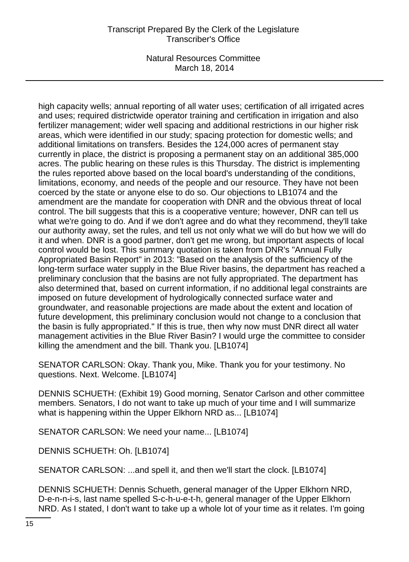Natural Resources Committee March 18, 2014

high capacity wells; annual reporting of all water uses; certification of all irrigated acres and uses; required districtwide operator training and certification in irrigation and also fertilizer management; wider well spacing and additional restrictions in our higher risk areas, which were identified in our study; spacing protection for domestic wells; and additional limitations on transfers. Besides the 124,000 acres of permanent stay currently in place, the district is proposing a permanent stay on an additional 385,000 acres. The public hearing on these rules is this Thursday. The district is implementing the rules reported above based on the local board's understanding of the conditions, limitations, economy, and needs of the people and our resource. They have not been coerced by the state or anyone else to do so. Our objections to LB1074 and the amendment are the mandate for cooperation with DNR and the obvious threat of local control. The bill suggests that this is a cooperative venture; however, DNR can tell us what we're going to do. And if we don't agree and do what they recommend, they'll take our authority away, set the rules, and tell us not only what we will do but how we will do it and when. DNR is a good partner, don't get me wrong, but important aspects of local control would be lost. This summary quotation is taken from DNR's "Annual Fully Appropriated Basin Report" in 2013: "Based on the analysis of the sufficiency of the long-term surface water supply in the Blue River basins, the department has reached a preliminary conclusion that the basins are not fully appropriated. The department has also determined that, based on current information, if no additional legal constraints are imposed on future development of hydrologically connected surface water and groundwater, and reasonable projections are made about the extent and location of future development, this preliminary conclusion would not change to a conclusion that the basin is fully appropriated." If this is true, then why now must DNR direct all water management activities in the Blue River Basin? I would urge the committee to consider killing the amendment and the bill. Thank you. [LB1074]

SENATOR CARLSON: Okay. Thank you, Mike. Thank you for your testimony. No questions. Next. Welcome. [LB1074]

DENNIS SCHUETH: (Exhibit 19) Good morning, Senator Carlson and other committee members. Senators, I do not want to take up much of your time and I will summarize what is happening within the Upper Elkhorn NRD as... [LB1074]

SENATOR CARLSON: We need your name... [LB1074]

DENNIS SCHUETH: Oh. [LB1074]

SENATOR CARLSON: ...and spell it, and then we'll start the clock. [LB1074]

DENNIS SCHUETH: Dennis Schueth, general manager of the Upper Elkhorn NRD, D-e-n-n-i-s, last name spelled S-c-h-u-e-t-h, general manager of the Upper Elkhorn NRD. As I stated, I don't want to take up a whole lot of your time as it relates. I'm going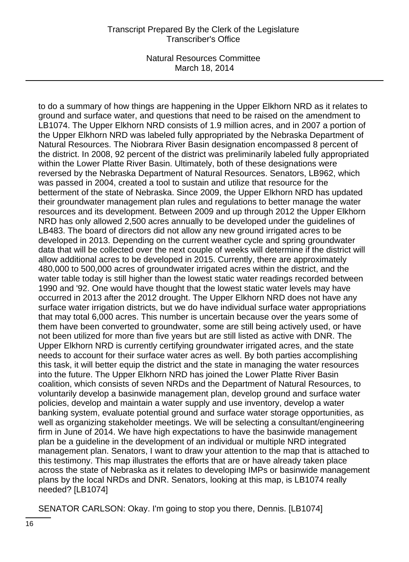Natural Resources Committee March 18, 2014

to do a summary of how things are happening in the Upper Elkhorn NRD as it relates to ground and surface water, and questions that need to be raised on the amendment to LB1074. The Upper Elkhorn NRD consists of 1.9 million acres, and in 2007 a portion of the Upper Elkhorn NRD was labeled fully appropriated by the Nebraska Department of Natural Resources. The Niobrara River Basin designation encompassed 8 percent of the district. In 2008, 92 percent of the district was preliminarily labeled fully appropriated within the Lower Platte River Basin. Ultimately, both of these designations were reversed by the Nebraska Department of Natural Resources. Senators, LB962, which was passed in 2004, created a tool to sustain and utilize that resource for the betterment of the state of Nebraska. Since 2009, the Upper Elkhorn NRD has updated their groundwater management plan rules and regulations to better manage the water resources and its development. Between 2009 and up through 2012 the Upper Elkhorn NRD has only allowed 2,500 acres annually to be developed under the guidelines of LB483. The board of directors did not allow any new ground irrigated acres to be developed in 2013. Depending on the current weather cycle and spring groundwater data that will be collected over the next couple of weeks will determine if the district will allow additional acres to be developed in 2015. Currently, there are approximately 480,000 to 500,000 acres of groundwater irrigated acres within the district, and the water table today is still higher than the lowest static water readings recorded between 1990 and '92. One would have thought that the lowest static water levels may have occurred in 2013 after the 2012 drought. The Upper Elkhorn NRD does not have any surface water irrigation districts, but we do have individual surface water appropriations that may total 6,000 acres. This number is uncertain because over the years some of them have been converted to groundwater, some are still being actively used, or have not been utilized for more than five years but are still listed as active with DNR. The Upper Elkhorn NRD is currently certifying groundwater irrigated acres, and the state needs to account for their surface water acres as well. By both parties accomplishing this task, it will better equip the district and the state in managing the water resources into the future. The Upper Elkhorn NRD has joined the Lower Platte River Basin coalition, which consists of seven NRDs and the Department of Natural Resources, to voluntarily develop a basinwide management plan, develop ground and surface water policies, develop and maintain a water supply and use inventory, develop a water banking system, evaluate potential ground and surface water storage opportunities, as well as organizing stakeholder meetings. We will be selecting a consultant/engineering firm in June of 2014. We have high expectations to have the basinwide management plan be a guideline in the development of an individual or multiple NRD integrated management plan. Senators, I want to draw your attention to the map that is attached to this testimony. This map illustrates the efforts that are or have already taken place across the state of Nebraska as it relates to developing IMPs or basinwide management plans by the local NRDs and DNR. Senators, looking at this map, is LB1074 really needed? [LB1074]

SENATOR CARLSON: Okay. I'm going to stop you there, Dennis. [LB1074]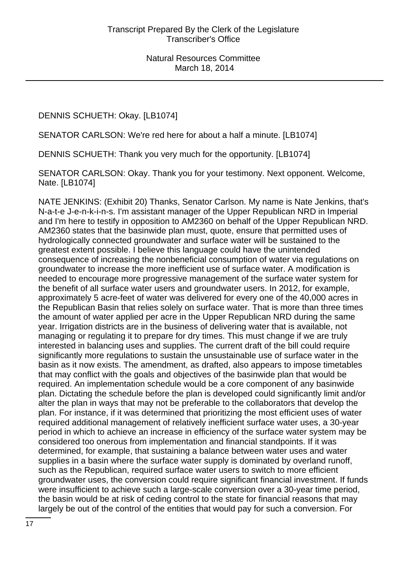DENNIS SCHUETH: Okay. [LB1074]

SENATOR CARLSON: We're red here for about a half a minute. [LB1074]

DENNIS SCHUETH: Thank you very much for the opportunity. [LB1074]

SENATOR CARLSON: Okay. Thank you for your testimony. Next opponent. Welcome, Nate. [LB1074]

NATE JENKINS: (Exhibit 20) Thanks, Senator Carlson. My name is Nate Jenkins, that's N-a-t-e J-e-n-k-i-n-s. I'm assistant manager of the Upper Republican NRD in Imperial and I'm here to testify in opposition to AM2360 on behalf of the Upper Republican NRD. AM2360 states that the basinwide plan must, quote, ensure that permitted uses of hydrologically connected groundwater and surface water will be sustained to the greatest extent possible. I believe this language could have the unintended consequence of increasing the nonbeneficial consumption of water via regulations on groundwater to increase the more inefficient use of surface water. A modification is needed to encourage more progressive management of the surface water system for the benefit of all surface water users and groundwater users. In 2012, for example, approximately 5 acre-feet of water was delivered for every one of the 40,000 acres in the Republican Basin that relies solely on surface water. That is more than three times the amount of water applied per acre in the Upper Republican NRD during the same year. Irrigation districts are in the business of delivering water that is available, not managing or regulating it to prepare for dry times. This must change if we are truly interested in balancing uses and supplies. The current draft of the bill could require significantly more regulations to sustain the unsustainable use of surface water in the basin as it now exists. The amendment, as drafted, also appears to impose timetables that may conflict with the goals and objectives of the basinwide plan that would be required. An implementation schedule would be a core component of any basinwide plan. Dictating the schedule before the plan is developed could significantly limit and/or alter the plan in ways that may not be preferable to the collaborators that develop the plan. For instance, if it was determined that prioritizing the most efficient uses of water required additional management of relatively inefficient surface water uses, a 30-year period in which to achieve an increase in efficiency of the surface water system may be considered too onerous from implementation and financial standpoints. If it was determined, for example, that sustaining a balance between water uses and water supplies in a basin where the surface water supply is dominated by overland runoff, such as the Republican, required surface water users to switch to more efficient groundwater uses, the conversion could require significant financial investment. If funds were insufficient to achieve such a large-scale conversion over a 30-year time period, the basin would be at risk of ceding control to the state for financial reasons that may largely be out of the control of the entities that would pay for such a conversion. For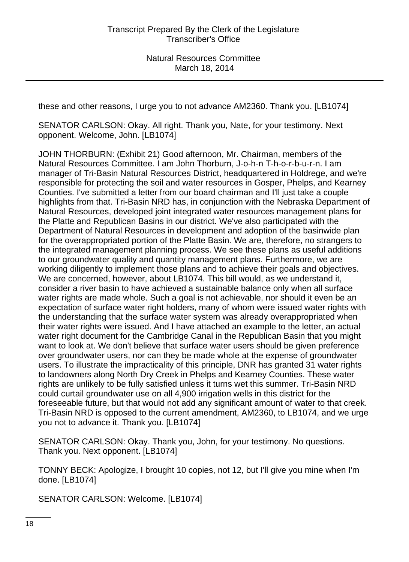these and other reasons, I urge you to not advance AM2360. Thank you. [LB1074]

SENATOR CARLSON: Okay. All right. Thank you, Nate, for your testimony. Next opponent. Welcome, John. [LB1074]

JOHN THORBURN: (Exhibit 21) Good afternoon, Mr. Chairman, members of the Natural Resources Committee. I am John Thorburn, J-o-h-n T-h-o-r-b-u-r-n. I am manager of Tri-Basin Natural Resources District, headquartered in Holdrege, and we're responsible for protecting the soil and water resources in Gosper, Phelps, and Kearney Counties. I've submitted a letter from our board chairman and I'll just take a couple highlights from that. Tri-Basin NRD has, in conjunction with the Nebraska Department of Natural Resources, developed joint integrated water resources management plans for the Platte and Republican Basins in our district. We've also participated with the Department of Natural Resources in development and adoption of the basinwide plan for the overappropriated portion of the Platte Basin. We are, therefore, no strangers to the integrated management planning process. We see these plans as useful additions to our groundwater quality and quantity management plans. Furthermore, we are working diligently to implement those plans and to achieve their goals and objectives. We are concerned, however, about LB1074. This bill would, as we understand it, consider a river basin to have achieved a sustainable balance only when all surface water rights are made whole. Such a goal is not achievable, nor should it even be an expectation of surface water right holders, many of whom were issued water rights with the understanding that the surface water system was already overappropriated when their water rights were issued. And I have attached an example to the letter, an actual water right document for the Cambridge Canal in the Republican Basin that you might want to look at. We don't believe that surface water users should be given preference over groundwater users, nor can they be made whole at the expense of groundwater users. To illustrate the impracticality of this principle, DNR has granted 31 water rights to landowners along North Dry Creek in Phelps and Kearney Counties. These water rights are unlikely to be fully satisfied unless it turns wet this summer. Tri-Basin NRD could curtail groundwater use on all 4,900 irrigation wells in this district for the foreseeable future, but that would not add any significant amount of water to that creek. Tri-Basin NRD is opposed to the current amendment, AM2360, to LB1074, and we urge you not to advance it. Thank you. [LB1074]

SENATOR CARLSON: Okay. Thank you, John, for your testimony. No questions. Thank you. Next opponent. [LB1074]

TONNY BECK: Apologize, I brought 10 copies, not 12, but I'll give you mine when I'm done. [LB1074]

SENATOR CARLSON: Welcome. [LB1074]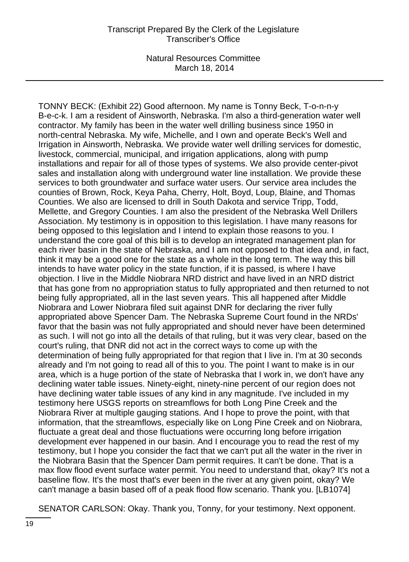TONNY BECK: (Exhibit 22) Good afternoon. My name is Tonny Beck, T-o-n-n-y B-e-c-k. I am a resident of Ainsworth, Nebraska. I'm also a third-generation water well contractor. My family has been in the water well drilling business since 1950 in north-central Nebraska. My wife, Michelle, and I own and operate Beck's Well and Irrigation in Ainsworth, Nebraska. We provide water well drilling services for domestic, livestock, commercial, municipal, and irrigation applications, along with pump installations and repair for all of those types of systems. We also provide center-pivot sales and installation along with underground water line installation. We provide these services to both groundwater and surface water users. Our service area includes the counties of Brown, Rock, Keya Paha, Cherry, Holt, Boyd, Loup, Blaine, and Thomas Counties. We also are licensed to drill in South Dakota and service Tripp, Todd, Mellette, and Gregory Counties. I am also the president of the Nebraska Well Drillers Association. My testimony is in opposition to this legislation. I have many reasons for being opposed to this legislation and I intend to explain those reasons to you. I understand the core goal of this bill is to develop an integrated management plan for each river basin in the state of Nebraska, and I am not opposed to that idea and, in fact, think it may be a good one for the state as a whole in the long term. The way this bill intends to have water policy in the state function, if it is passed, is where I have objection. I live in the Middle Niobrara NRD district and have lived in an NRD district that has gone from no appropriation status to fully appropriated and then returned to not being fully appropriated, all in the last seven years. This all happened after Middle Niobrara and Lower Niobrara filed suit against DNR for declaring the river fully appropriated above Spencer Dam. The Nebraska Supreme Court found in the NRDs' favor that the basin was not fully appropriated and should never have been determined as such. I will not go into all the details of that ruling, but it was very clear, based on the court's ruling, that DNR did not act in the correct ways to come up with the determination of being fully appropriated for that region that I live in. I'm at 30 seconds already and I'm not going to read all of this to you. The point I want to make is in our area, which is a huge portion of the state of Nebraska that I work in, we don't have any declining water table issues. Ninety-eight, ninety-nine percent of our region does not have declining water table issues of any kind in any magnitude. I've included in my testimony here USGS reports on streamflows for both Long Pine Creek and the Niobrara River at multiple gauging stations. And I hope to prove the point, with that information, that the streamflows, especially like on Long Pine Creek and on Niobrara, fluctuate a great deal and those fluctuations were occurring long before irrigation development ever happened in our basin. And I encourage you to read the rest of my testimony, but I hope you consider the fact that we can't put all the water in the river in the Niobrara Basin that the Spencer Dam permit requires. It can't be done. That is a max flow flood event surface water permit. You need to understand that, okay? It's not a baseline flow. It's the most that's ever been in the river at any given point, okay? We can't manage a basin based off of a peak flood flow scenario. Thank you. [LB1074]

SENATOR CARLSON: Okay. Thank you, Tonny, for your testimony. Next opponent.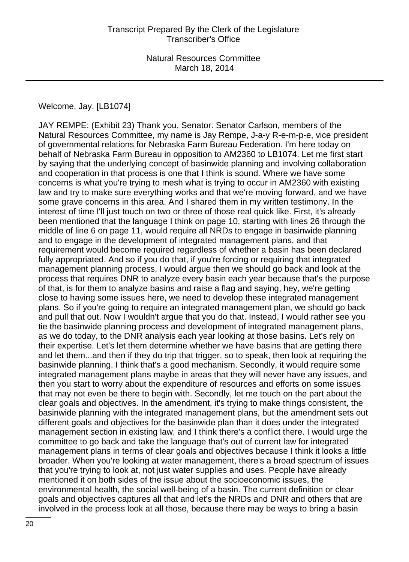#### Welcome, Jay. [LB1074]

JAY REMPE: (Exhibit 23) Thank you, Senator. Senator Carlson, members of the Natural Resources Committee, my name is Jay Rempe, J-a-y R-e-m-p-e, vice president of governmental relations for Nebraska Farm Bureau Federation. I'm here today on behalf of Nebraska Farm Bureau in opposition to AM2360 to LB1074. Let me first start by saying that the underlying concept of basinwide planning and involving collaboration and cooperation in that process is one that I think is sound. Where we have some concerns is what you're trying to mesh what is trying to occur in AM2360 with existing law and try to make sure everything works and that we're moving forward, and we have some grave concerns in this area. And I shared them in my written testimony. In the interest of time I'll just touch on two or three of those real quick like. First, it's already been mentioned that the language I think on page 10, starting with lines 26 through the middle of line 6 on page 11, would require all NRDs to engage in basinwide planning and to engage in the development of integrated management plans, and that requirement would become required regardless of whether a basin has been declared fully appropriated. And so if you do that, if you're forcing or requiring that integrated management planning process, I would argue then we should go back and look at the process that requires DNR to analyze every basin each year because that's the purpose of that, is for them to analyze basins and raise a flag and saying, hey, we're getting close to having some issues here, we need to develop these integrated management plans. So if you're going to require an integrated management plan, we should go back and pull that out. Now I wouldn't argue that you do that. Instead, I would rather see you tie the basinwide planning process and development of integrated management plans, as we do today, to the DNR analysis each year looking at those basins. Let's rely on their expertise. Let's let them determine whether we have basins that are getting there and let them...and then if they do trip that trigger, so to speak, then look at requiring the basinwide planning. I think that's a good mechanism. Secondly, it would require some integrated management plans maybe in areas that they will never have any issues, and then you start to worry about the expenditure of resources and efforts on some issues that may not even be there to begin with. Secondly, let me touch on the part about the clear goals and objectives. In the amendment, it's trying to make things consistent, the basinwide planning with the integrated management plans, but the amendment sets out different goals and objectives for the basinwide plan than it does under the integrated management section in existing law, and I think there's a conflict there. I would urge the committee to go back and take the language that's out of current law for integrated management plans in terms of clear goals and objectives because I think it looks a little broader. When you're looking at water management, there's a broad spectrum of issues that you're trying to look at, not just water supplies and uses. People have already mentioned it on both sides of the issue about the socioeconomic issues, the environmental health, the social well-being of a basin. The current definition or clear goals and objectives captures all that and let's the NRDs and DNR and others that are involved in the process look at all those, because there may be ways to bring a basin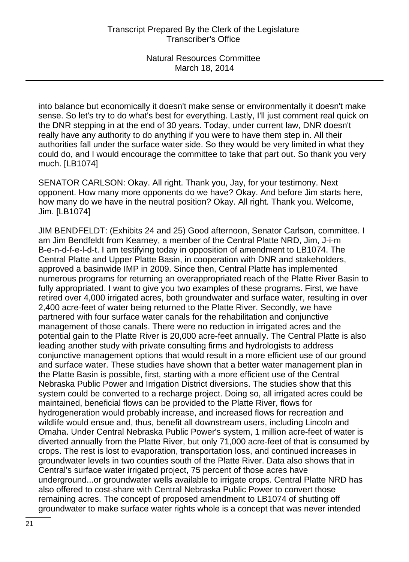into balance but economically it doesn't make sense or environmentally it doesn't make sense. So let's try to do what's best for everything. Lastly, I'll just comment real quick on the DNR stepping in at the end of 30 years. Today, under current law, DNR doesn't really have any authority to do anything if you were to have them step in. All their authorities fall under the surface water side. So they would be very limited in what they could do, and I would encourage the committee to take that part out. So thank you very much. [LB1074]

SENATOR CARLSON: Okay. All right. Thank you, Jay, for your testimony. Next opponent. How many more opponents do we have? Okay. And before Jim starts here, how many do we have in the neutral position? Okay. All right. Thank you. Welcome, Jim. [LB1074]

JIM BENDFELDT: (Exhibits 24 and 25) Good afternoon, Senator Carlson, committee. I am Jim Bendfeldt from Kearney, a member of the Central Platte NRD, Jim, J-i-m B-e-n-d-f-e-l-d-t. I am testifying today in opposition of amendment to LB1074. The Central Platte and Upper Platte Basin, in cooperation with DNR and stakeholders, approved a basinwide IMP in 2009. Since then, Central Platte has implemented numerous programs for returning an overappropriated reach of the Platte River Basin to fully appropriated. I want to give you two examples of these programs. First, we have retired over 4,000 irrigated acres, both groundwater and surface water, resulting in over 2,400 acre-feet of water being returned to the Platte River. Secondly, we have partnered with four surface water canals for the rehabilitation and conjunctive management of those canals. There were no reduction in irrigated acres and the potential gain to the Platte River is 20,000 acre-feet annually. The Central Platte is also leading another study with private consulting firms and hydrologists to address conjunctive management options that would result in a more efficient use of our ground and surface water. These studies have shown that a better water management plan in the Platte Basin is possible, first, starting with a more efficient use of the Central Nebraska Public Power and Irrigation District diversions. The studies show that this system could be converted to a recharge project. Doing so, all irrigated acres could be maintained, beneficial flows can be provided to the Platte River, flows for hydrogeneration would probably increase, and increased flows for recreation and wildlife would ensue and, thus, benefit all downstream users, including Lincoln and Omaha. Under Central Nebraska Public Power's system, 1 million acre-feet of water is diverted annually from the Platte River, but only 71,000 acre-feet of that is consumed by crops. The rest is lost to evaporation, transportation loss, and continued increases in groundwater levels in two counties south of the Platte River. Data also shows that in Central's surface water irrigated project, 75 percent of those acres have underground...or groundwater wells available to irrigate crops. Central Platte NRD has also offered to cost-share with Central Nebraska Public Power to convert those remaining acres. The concept of proposed amendment to LB1074 of shutting off groundwater to make surface water rights whole is a concept that was never intended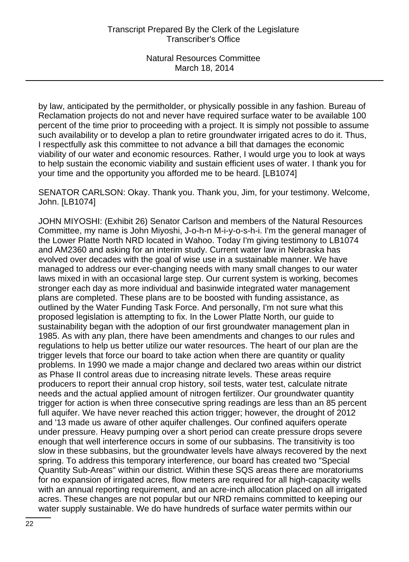by law, anticipated by the permitholder, or physically possible in any fashion. Bureau of Reclamation projects do not and never have required surface water to be available 100 percent of the time prior to proceeding with a project. It is simply not possible to assume such availability or to develop a plan to retire groundwater irrigated acres to do it. Thus, I respectfully ask this committee to not advance a bill that damages the economic viability of our water and economic resources. Rather, I would urge you to look at ways to help sustain the economic viability and sustain efficient uses of water. I thank you for your time and the opportunity you afforded me to be heard. [LB1074]

SENATOR CARLSON: Okay. Thank you. Thank you, Jim, for your testimony. Welcome, John. [LB1074]

JOHN MIYOSHI: (Exhibit 26) Senator Carlson and members of the Natural Resources Committee, my name is John Miyoshi, J-o-h-n M-i-y-o-s-h-i. I'm the general manager of the Lower Platte North NRD located in Wahoo. Today I'm giving testimony to LB1074 and AM2360 and asking for an interim study. Current water law in Nebraska has evolved over decades with the goal of wise use in a sustainable manner. We have managed to address our ever-changing needs with many small changes to our water laws mixed in with an occasional large step. Our current system is working, becomes stronger each day as more individual and basinwide integrated water management plans are completed. These plans are to be boosted with funding assistance, as outlined by the Water Funding Task Force. And personally, I'm not sure what this proposed legislation is attempting to fix. In the Lower Platte North, our guide to sustainability began with the adoption of our first groundwater management plan in 1985. As with any plan, there have been amendments and changes to our rules and regulations to help us better utilize our water resources. The heart of our plan are the trigger levels that force our board to take action when there are quantity or quality problems. In 1990 we made a major change and declared two areas within our district as Phase II control areas due to increasing nitrate levels. These areas require producers to report their annual crop history, soil tests, water test, calculate nitrate needs and the actual applied amount of nitrogen fertilizer. Our groundwater quantity trigger for action is when three consecutive spring readings are less than an 85 percent full aquifer. We have never reached this action trigger; however, the drought of 2012 and '13 made us aware of other aquifer challenges. Our confined aquifers operate under pressure. Heavy pumping over a short period can create pressure drops severe enough that well interference occurs in some of our subbasins. The transitivity is too slow in these subbasins, but the groundwater levels have always recovered by the next spring. To address this temporary interference, our board has created two "Special Quantity Sub-Areas" within our district. Within these SQS areas there are moratoriums for no expansion of irrigated acres, flow meters are required for all high-capacity wells with an annual reporting requirement, and an acre-inch allocation placed on all irrigated acres. These changes are not popular but our NRD remains committed to keeping our water supply sustainable. We do have hundreds of surface water permits within our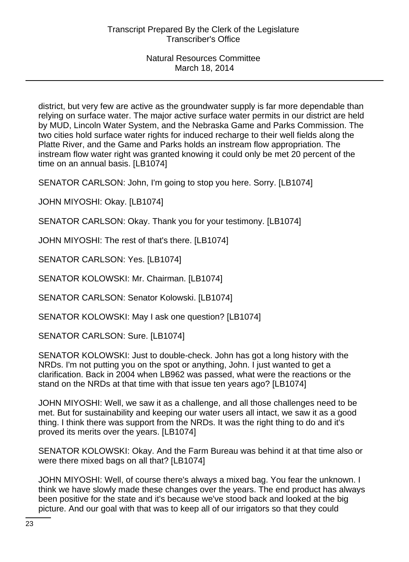district, but very few are active as the groundwater supply is far more dependable than relying on surface water. The major active surface water permits in our district are held by MUD, Lincoln Water System, and the Nebraska Game and Parks Commission. The two cities hold surface water rights for induced recharge to their well fields along the Platte River, and the Game and Parks holds an instream flow appropriation. The instream flow water right was granted knowing it could only be met 20 percent of the time on an annual basis. [LB1074]

SENATOR CARLSON: John, I'm going to stop you here. Sorry. [LB1074]

JOHN MIYOSHI: Okay. [LB1074]

SENATOR CARLSON: Okay. Thank you for your testimony. [LB1074]

JOHN MIYOSHI: The rest of that's there. [LB1074]

SENATOR CARLSON: Yes. [LB1074]

SENATOR KOLOWSKI: Mr. Chairman. [LB1074]

SENATOR CARLSON: Senator Kolowski. [LB1074]

SENATOR KOLOWSKI: May I ask one question? [LB1074]

SENATOR CARLSON: Sure. [LB1074]

SENATOR KOLOWSKI: Just to double-check. John has got a long history with the NRDs. I'm not putting you on the spot or anything, John. I just wanted to get a clarification. Back in 2004 when LB962 was passed, what were the reactions or the stand on the NRDs at that time with that issue ten years ago? [LB1074]

JOHN MIYOSHI: Well, we saw it as a challenge, and all those challenges need to be met. But for sustainability and keeping our water users all intact, we saw it as a good thing. I think there was support from the NRDs. It was the right thing to do and it's proved its merits over the years. [LB1074]

SENATOR KOLOWSKI: Okay. And the Farm Bureau was behind it at that time also or were there mixed bags on all that? [LB1074]

JOHN MIYOSHI: Well, of course there's always a mixed bag. You fear the unknown. I think we have slowly made these changes over the years. The end product has always been positive for the state and it's because we've stood back and looked at the big picture. And our goal with that was to keep all of our irrigators so that they could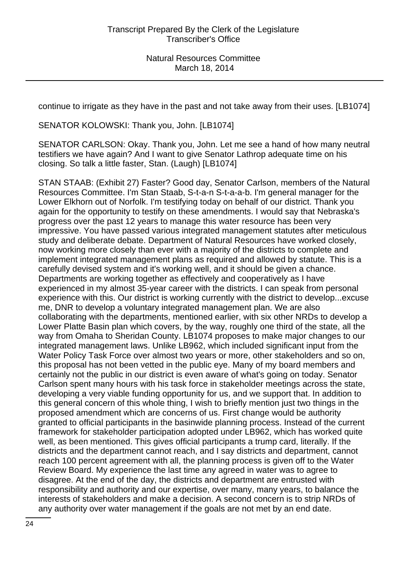continue to irrigate as they have in the past and not take away from their uses. [LB1074]

SENATOR KOLOWSKI: Thank you, John. [LB1074]

SENATOR CARLSON: Okay. Thank you, John. Let me see a hand of how many neutral testifiers we have again? And I want to give Senator Lathrop adequate time on his closing. So talk a little faster, Stan. (Laugh) [LB1074]

STAN STAAB: (Exhibit 27) Faster? Good day, Senator Carlson, members of the Natural Resources Committee. I'm Stan Staab, S-t-a-n S-t-a-a-b. I'm general manager for the Lower Elkhorn out of Norfolk. I'm testifying today on behalf of our district. Thank you again for the opportunity to testify on these amendments. I would say that Nebraska's progress over the past 12 years to manage this water resource has been very impressive. You have passed various integrated management statutes after meticulous study and deliberate debate. Department of Natural Resources have worked closely, now working more closely than ever with a majority of the districts to complete and implement integrated management plans as required and allowed by statute. This is a carefully devised system and it's working well, and it should be given a chance. Departments are working together as effectively and cooperatively as I have experienced in my almost 35-year career with the districts. I can speak from personal experience with this. Our district is working currently with the district to develop...excuse me, DNR to develop a voluntary integrated management plan. We are also collaborating with the departments, mentioned earlier, with six other NRDs to develop a Lower Platte Basin plan which covers, by the way, roughly one third of the state, all the way from Omaha to Sheridan County. LB1074 proposes to make major changes to our integrated management laws. Unlike LB962, which included significant input from the Water Policy Task Force over almost two years or more, other stakeholders and so on, this proposal has not been vetted in the public eye. Many of my board members and certainly not the public in our district is even aware of what's going on today. Senator Carlson spent many hours with his task force in stakeholder meetings across the state, developing a very viable funding opportunity for us, and we support that. In addition to this general concern of this whole thing, I wish to briefly mention just two things in the proposed amendment which are concerns of us. First change would be authority granted to official participants in the basinwide planning process. Instead of the current framework for stakeholder participation adopted under LB962, which has worked quite well, as been mentioned. This gives official participants a trump card, literally. If the districts and the department cannot reach, and I say districts and department, cannot reach 100 percent agreement with all, the planning process is given off to the Water Review Board. My experience the last time any agreed in water was to agree to disagree. At the end of the day, the districts and department are entrusted with responsibility and authority and our expertise, over many, many years, to balance the interests of stakeholders and make a decision. A second concern is to strip NRDs of any authority over water management if the goals are not met by an end date.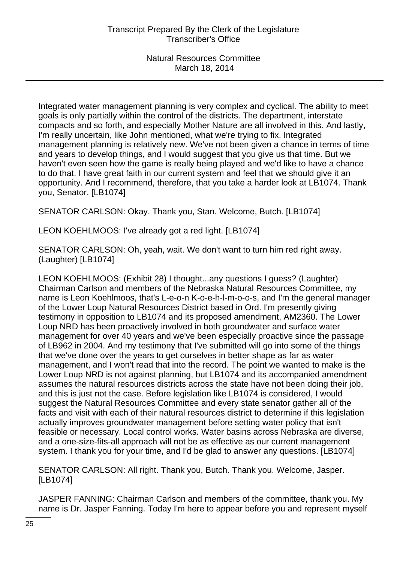Integrated water management planning is very complex and cyclical. The ability to meet goals is only partially within the control of the districts. The department, interstate compacts and so forth, and especially Mother Nature are all involved in this. And lastly, I'm really uncertain, like John mentioned, what we're trying to fix. Integrated management planning is relatively new. We've not been given a chance in terms of time and years to develop things, and I would suggest that you give us that time. But we haven't even seen how the game is really being played and we'd like to have a chance to do that. I have great faith in our current system and feel that we should give it an opportunity. And I recommend, therefore, that you take a harder look at LB1074. Thank you, Senator. [LB1074]

SENATOR CARLSON: Okay. Thank you, Stan. Welcome, Butch. [LB1074]

LEON KOEHLMOOS: I've already got a red light. [LB1074]

SENATOR CARLSON: Oh, yeah, wait. We don't want to turn him red right away. (Laughter) [LB1074]

LEON KOEHLMOOS: (Exhibit 28) I thought...any questions I guess? (Laughter) Chairman Carlson and members of the Nebraska Natural Resources Committee, my name is Leon Koehlmoos, that's L-e-o-n K-o-e-h-l-m-o-o-s, and I'm the general manager of the Lower Loup Natural Resources District based in Ord. I'm presently giving testimony in opposition to LB1074 and its proposed amendment, AM2360. The Lower Loup NRD has been proactively involved in both groundwater and surface water management for over 40 years and we've been especially proactive since the passage of LB962 in 2004. And my testimony that I've submitted will go into some of the things that we've done over the years to get ourselves in better shape as far as water management, and I won't read that into the record. The point we wanted to make is the Lower Loup NRD is not against planning, but LB1074 and its accompanied amendment assumes the natural resources districts across the state have not been doing their job, and this is just not the case. Before legislation like LB1074 is considered, I would suggest the Natural Resources Committee and every state senator gather all of the facts and visit with each of their natural resources district to determine if this legislation actually improves groundwater management before setting water policy that isn't feasible or necessary. Local control works. Water basins across Nebraska are diverse, and a one-size-fits-all approach will not be as effective as our current management system. I thank you for your time, and I'd be glad to answer any questions. [LB1074]

SENATOR CARLSON: All right. Thank you, Butch. Thank you. Welcome, Jasper. [LB1074]

JASPER FANNING: Chairman Carlson and members of the committee, thank you. My name is Dr. Jasper Fanning. Today I'm here to appear before you and represent myself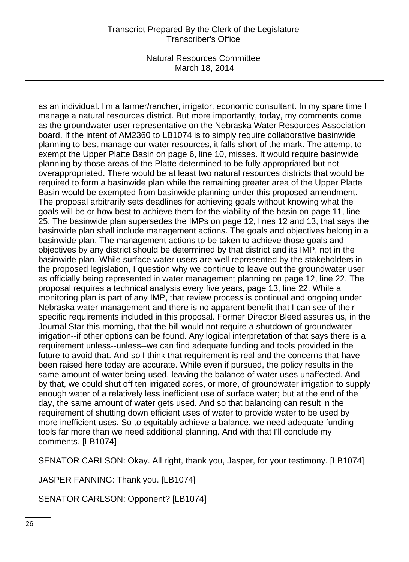Natural Resources Committee March 18, 2014

as an individual. I'm a farmer/rancher, irrigator, economic consultant. In my spare time I manage a natural resources district. But more importantly, today, my comments come as the groundwater user representative on the Nebraska Water Resources Association board. If the intent of AM2360 to LB1074 is to simply require collaborative basinwide planning to best manage our water resources, it falls short of the mark. The attempt to exempt the Upper Platte Basin on page 6, line 10, misses. It would require basinwide planning by those areas of the Platte determined to be fully appropriated but not overappropriated. There would be at least two natural resources districts that would be required to form a basinwide plan while the remaining greater area of the Upper Platte Basin would be exempted from basinwide planning under this proposed amendment. The proposal arbitrarily sets deadlines for achieving goals without knowing what the goals will be or how best to achieve them for the viability of the basin on page 11, line 25. The basinwide plan supersedes the IMPs on page 12, lines 12 and 13, that says the basinwide plan shall include management actions. The goals and objectives belong in a basinwide plan. The management actions to be taken to achieve those goals and objectives by any district should be determined by that district and its IMP, not in the basinwide plan. While surface water users are well represented by the stakeholders in the proposed legislation, I question why we continue to leave out the groundwater user as officially being represented in water management planning on page 12, line 22. The proposal requires a technical analysis every five years, page 13, line 22. While a monitoring plan is part of any IMP, that review process is continual and ongoing under Nebraska water management and there is no apparent benefit that I can see of their specific requirements included in this proposal. Former Director Bleed assures us, in the Journal Star this morning, that the bill would not require a shutdown of groundwater irrigation--if other options can be found. Any logical interpretation of that says there is a requirement unless--unless--we can find adequate funding and tools provided in the future to avoid that. And so I think that requirement is real and the concerns that have been raised here today are accurate. While even if pursued, the policy results in the same amount of water being used, leaving the balance of water uses unaffected. And by that, we could shut off ten irrigated acres, or more, of groundwater irrigation to supply enough water of a relatively less inefficient use of surface water; but at the end of the day, the same amount of water gets used. And so that balancing can result in the requirement of shutting down efficient uses of water to provide water to be used by more inefficient uses. So to equitably achieve a balance, we need adequate funding tools far more than we need additional planning. And with that I'll conclude my comments. [LB1074]

SENATOR CARLSON: Okay. All right, thank you, Jasper, for your testimony. [LB1074]

JASPER FANNING: Thank you. [LB1074]

SENATOR CARLSON: Opponent? [LB1074]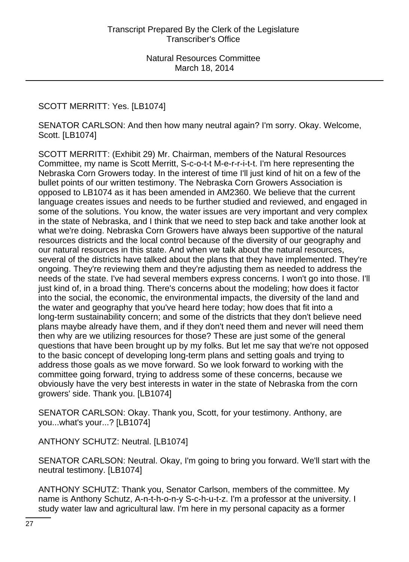# SCOTT MERRITT: Yes. [LB1074]

SENATOR CARLSON: And then how many neutral again? I'm sorry. Okay. Welcome, Scott. [LB1074]

SCOTT MERRITT: (Exhibit 29) Mr. Chairman, members of the Natural Resources Committee, my name is Scott Merritt, S-c-o-t-t M-e-r-r-i-t-t. I'm here representing the Nebraska Corn Growers today. In the interest of time I'll just kind of hit on a few of the bullet points of our written testimony. The Nebraska Corn Growers Association is opposed to LB1074 as it has been amended in AM2360. We believe that the current language creates issues and needs to be further studied and reviewed, and engaged in some of the solutions. You know, the water issues are very important and very complex in the state of Nebraska, and I think that we need to step back and take another look at what we're doing. Nebraska Corn Growers have always been supportive of the natural resources districts and the local control because of the diversity of our geography and our natural resources in this state. And when we talk about the natural resources, several of the districts have talked about the plans that they have implemented. They're ongoing. They're reviewing them and they're adjusting them as needed to address the needs of the state. I've had several members express concerns. I won't go into those. I'll just kind of, in a broad thing. There's concerns about the modeling; how does it factor into the social, the economic, the environmental impacts, the diversity of the land and the water and geography that you've heard here today; how does that fit into a long-term sustainability concern; and some of the districts that they don't believe need plans maybe already have them, and if they don't need them and never will need them then why are we utilizing resources for those? These are just some of the general questions that have been brought up by my folks. But let me say that we're not opposed to the basic concept of developing long-term plans and setting goals and trying to address those goals as we move forward. So we look forward to working with the committee going forward, trying to address some of these concerns, because we obviously have the very best interests in water in the state of Nebraska from the corn growers' side. Thank you. [LB1074]

SENATOR CARLSON: Okay. Thank you, Scott, for your testimony. Anthony, are you...what's your...? [LB1074]

ANTHONY SCHUTZ: Neutral. [LB1074]

SENATOR CARLSON: Neutral. Okay, I'm going to bring you forward. We'll start with the neutral testimony. [LB1074]

ANTHONY SCHUTZ: Thank you, Senator Carlson, members of the committee. My name is Anthony Schutz, A-n-t-h-o-n-y S-c-h-u-t-z. I'm a professor at the university. I study water law and agricultural law. I'm here in my personal capacity as a former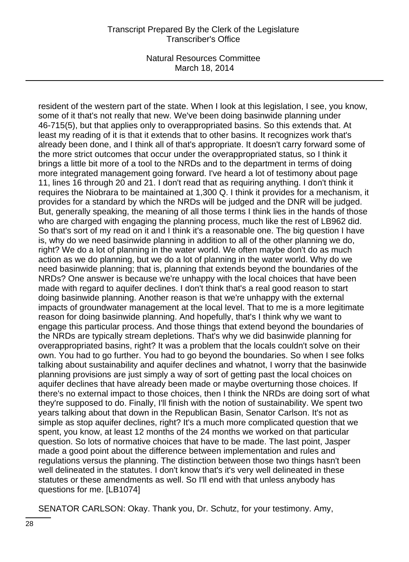Natural Resources Committee March 18, 2014

resident of the western part of the state. When I look at this legislation, I see, you know, some of it that's not really that new. We've been doing basinwide planning under 46-715(5), but that applies only to overappropriated basins. So this extends that. At least my reading of it is that it extends that to other basins. It recognizes work that's already been done, and I think all of that's appropriate. It doesn't carry forward some of the more strict outcomes that occur under the overappropriated status, so I think it brings a little bit more of a tool to the NRDs and to the department in terms of doing more integrated management going forward. I've heard a lot of testimony about page 11, lines 16 through 20 and 21. I don't read that as requiring anything. I don't think it requires the Niobrara to be maintained at 1,300 Q. I think it provides for a mechanism, it provides for a standard by which the NRDs will be judged and the DNR will be judged. But, generally speaking, the meaning of all those terms I think lies in the hands of those who are charged with engaging the planning process, much like the rest of LB962 did. So that's sort of my read on it and I think it's a reasonable one. The big question I have is, why do we need basinwide planning in addition to all of the other planning we do, right? We do a lot of planning in the water world. We often maybe don't do as much action as we do planning, but we do a lot of planning in the water world. Why do we need basinwide planning; that is, planning that extends beyond the boundaries of the NRDs? One answer is because we're unhappy with the local choices that have been made with regard to aquifer declines. I don't think that's a real good reason to start doing basinwide planning. Another reason is that we're unhappy with the external impacts of groundwater management at the local level. That to me is a more legitimate reason for doing basinwide planning. And hopefully, that's I think why we want to engage this particular process. And those things that extend beyond the boundaries of the NRDs are typically stream depletions. That's why we did basinwide planning for overappropriated basins, right? It was a problem that the locals couldn't solve on their own. You had to go further. You had to go beyond the boundaries. So when I see folks talking about sustainability and aquifer declines and whatnot, I worry that the basinwide planning provisions are just simply a way of sort of getting past the local choices on aquifer declines that have already been made or maybe overturning those choices. If there's no external impact to those choices, then I think the NRDs are doing sort of what they're supposed to do. Finally, I'll finish with the notion of sustainability. We spent two years talking about that down in the Republican Basin, Senator Carlson. It's not as simple as stop aquifer declines, right? It's a much more complicated question that we spent, you know, at least 12 months of the 24 months we worked on that particular question. So lots of normative choices that have to be made. The last point, Jasper made a good point about the difference between implementation and rules and regulations versus the planning. The distinction between those two things hasn't been well delineated in the statutes. I don't know that's it's very well delineated in these statutes or these amendments as well. So I'll end with that unless anybody has questions for me. [LB1074]

SENATOR CARLSON: Okay. Thank you, Dr. Schutz, for your testimony. Amy,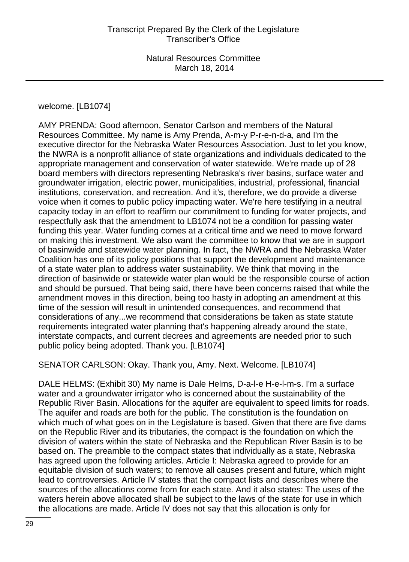welcome. [LB1074]

AMY PRENDA: Good afternoon, Senator Carlson and members of the Natural Resources Committee. My name is Amy Prenda, A-m-y P-r-e-n-d-a, and I'm the executive director for the Nebraska Water Resources Association. Just to let you know, the NWRA is a nonprofit alliance of state organizations and individuals dedicated to the appropriate management and conservation of water statewide. We're made up of 28 board members with directors representing Nebraska's river basins, surface water and groundwater irrigation, electric power, municipalities, industrial, professional, financial institutions, conservation, and recreation. And it's, therefore, we do provide a diverse voice when it comes to public policy impacting water. We're here testifying in a neutral capacity today in an effort to reaffirm our commitment to funding for water projects, and respectfully ask that the amendment to LB1074 not be a condition for passing water funding this year. Water funding comes at a critical time and we need to move forward on making this investment. We also want the committee to know that we are in support of basinwide and statewide water planning. In fact, the NWRA and the Nebraska Water Coalition has one of its policy positions that support the development and maintenance of a state water plan to address water sustainability. We think that moving in the direction of basinwide or statewide water plan would be the responsible course of action and should be pursued. That being said, there have been concerns raised that while the amendment moves in this direction, being too hasty in adopting an amendment at this time of the session will result in unintended consequences, and recommend that considerations of any...we recommend that considerations be taken as state statute requirements integrated water planning that's happening already around the state, interstate compacts, and current decrees and agreements are needed prior to such public policy being adopted. Thank you. [LB1074]

SENATOR CARLSON: Okay. Thank you, Amy. Next. Welcome. [LB1074]

DALE HELMS: (Exhibit 30) My name is Dale Helms, D-a-l-e H-e-l-m-s. I'm a surface water and a groundwater irrigator who is concerned about the sustainability of the Republic River Basin. Allocations for the aquifer are equivalent to speed limits for roads. The aquifer and roads are both for the public. The constitution is the foundation on which much of what goes on in the Legislature is based. Given that there are five dams on the Republic River and its tributaries, the compact is the foundation on which the division of waters within the state of Nebraska and the Republican River Basin is to be based on. The preamble to the compact states that individually as a state, Nebraska has agreed upon the following articles. Article I: Nebraska agreed to provide for an equitable division of such waters; to remove all causes present and future, which might lead to controversies. Article IV states that the compact lists and describes where the sources of the allocations come from for each state. And it also states: The uses of the waters herein above allocated shall be subject to the laws of the state for use in which the allocations are made. Article IV does not say that this allocation is only for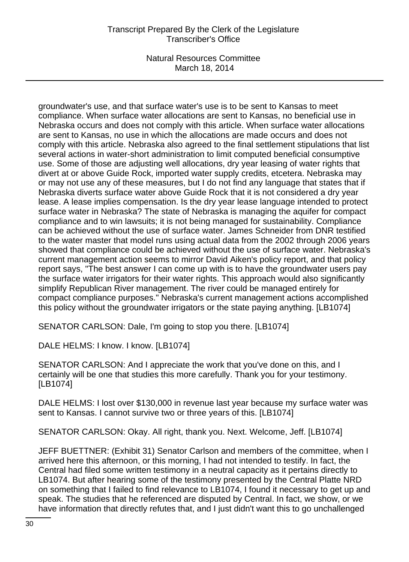Natural Resources Committee March 18, 2014

groundwater's use, and that surface water's use is to be sent to Kansas to meet compliance. When surface water allocations are sent to Kansas, no beneficial use in Nebraska occurs and does not comply with this article. When surface water allocations are sent to Kansas, no use in which the allocations are made occurs and does not comply with this article. Nebraska also agreed to the final settlement stipulations that list several actions in water-short administration to limit computed beneficial consumptive use. Some of those are adjusting well allocations, dry year leasing of water rights that divert at or above Guide Rock, imported water supply credits, etcetera. Nebraska may or may not use any of these measures, but I do not find any language that states that if Nebraska diverts surface water above Guide Rock that it is not considered a dry year lease. A lease implies compensation. Is the dry year lease language intended to protect surface water in Nebraska? The state of Nebraska is managing the aquifer for compact compliance and to win lawsuits; it is not being managed for sustainability. Compliance can be achieved without the use of surface water. James Schneider from DNR testified to the water master that model runs using actual data from the 2002 through 2006 years showed that compliance could be achieved without the use of surface water. Nebraska's current management action seems to mirror David Aiken's policy report, and that policy report says, "The best answer I can come up with is to have the groundwater users pay the surface water irrigators for their water rights. This approach would also significantly simplify Republican River management. The river could be managed entirely for compact compliance purposes." Nebraska's current management actions accomplished this policy without the groundwater irrigators or the state paying anything. [LB1074]

SENATOR CARLSON: Dale, I'm going to stop you there. [LB1074]

DALE HELMS: I know. I know. [LB1074]

SENATOR CARLSON: And I appreciate the work that you've done on this, and I certainly will be one that studies this more carefully. Thank you for your testimony. [LB1074]

DALE HELMS: I lost over \$130,000 in revenue last year because my surface water was sent to Kansas. I cannot survive two or three years of this. [LB1074]

SENATOR CARLSON: Okay. All right, thank you. Next. Welcome, Jeff. [LB1074]

JEFF BUETTNER: (Exhibit 31) Senator Carlson and members of the committee, when I arrived here this afternoon, or this morning, I had not intended to testify. In fact, the Central had filed some written testimony in a neutral capacity as it pertains directly to LB1074. But after hearing some of the testimony presented by the Central Platte NRD on something that I failed to find relevance to LB1074, I found it necessary to get up and speak. The studies that he referenced are disputed by Central. In fact, we show, or we have information that directly refutes that, and I just didn't want this to go unchallenged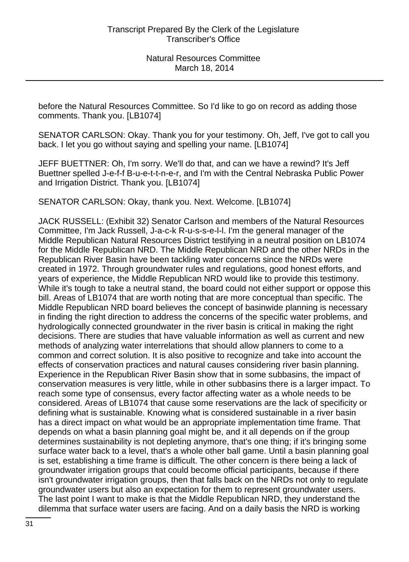before the Natural Resources Committee. So I'd like to go on record as adding those comments. Thank you. [LB1074]

SENATOR CARLSON: Okay. Thank you for your testimony. Oh, Jeff, I've got to call you back. I let you go without saying and spelling your name. [LB1074]

JEFF BUETTNER: Oh, I'm sorry. We'll do that, and can we have a rewind? It's Jeff Buettner spelled J-e-f-f B-u-e-t-t-n-e-r, and I'm with the Central Nebraska Public Power and Irrigation District. Thank you. [LB1074]

SENATOR CARLSON: Okay, thank you. Next. Welcome. [LB1074]

JACK RUSSELL: (Exhibit 32) Senator Carlson and members of the Natural Resources Committee, I'm Jack Russell, J-a-c-k R-u-s-s-e-l-l. I'm the general manager of the Middle Republican Natural Resources District testifying in a neutral position on LB1074 for the Middle Republican NRD. The Middle Republican NRD and the other NRDs in the Republican River Basin have been tackling water concerns since the NRDs were created in 1972. Through groundwater rules and regulations, good honest efforts, and years of experience, the Middle Republican NRD would like to provide this testimony. While it's tough to take a neutral stand, the board could not either support or oppose this bill. Areas of LB1074 that are worth noting that are more conceptual than specific. The Middle Republican NRD board believes the concept of basinwide planning is necessary in finding the right direction to address the concerns of the specific water problems, and hydrologically connected groundwater in the river basin is critical in making the right decisions. There are studies that have valuable information as well as current and new methods of analyzing water interrelations that should allow planners to come to a common and correct solution. It is also positive to recognize and take into account the effects of conservation practices and natural causes considering river basin planning. Experience in the Republican River Basin show that in some subbasins, the impact of conservation measures is very little, while in other subbasins there is a larger impact. To reach some type of consensus, every factor affecting water as a whole needs to be considered. Areas of LB1074 that cause some reservations are the lack of specificity or defining what is sustainable. Knowing what is considered sustainable in a river basin has a direct impact on what would be an appropriate implementation time frame. That depends on what a basin planning goal might be, and it all depends on if the group determines sustainability is not depleting anymore, that's one thing; if it's bringing some surface water back to a level, that's a whole other ball game. Until a basin planning goal is set, establishing a time frame is difficult. The other concern is there being a lack of groundwater irrigation groups that could become official participants, because if there isn't groundwater irrigation groups, then that falls back on the NRDs not only to regulate groundwater users but also an expectation for them to represent groundwater users. The last point I want to make is that the Middle Republican NRD, they understand the dilemma that surface water users are facing. And on a daily basis the NRD is working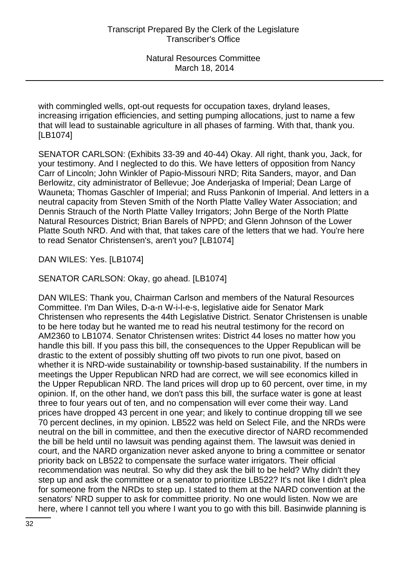with commingled wells, opt-out requests for occupation taxes, dryland leases, increasing irrigation efficiencies, and setting pumping allocations, just to name a few that will lead to sustainable agriculture in all phases of farming. With that, thank you. [LB1074]

SENATOR CARLSON: (Exhibits 33-39 and 40-44) Okay. All right, thank you, Jack, for your testimony. And I neglected to do this. We have letters of opposition from Nancy Carr of Lincoln; John Winkler of Papio-Missouri NRD; Rita Sanders, mayor, and Dan Berlowitz, city administrator of Bellevue; Joe Anderjaska of Imperial; Dean Large of Wauneta; Thomas Gaschler of Imperial; and Russ Pankonin of Imperial. And letters in a neutral capacity from Steven Smith of the North Platte Valley Water Association; and Dennis Strauch of the North Platte Valley Irrigators; John Berge of the North Platte Natural Resources District; Brian Barels of NPPD; and Glenn Johnson of the Lower Platte South NRD. And with that, that takes care of the letters that we had. You're here to read Senator Christensen's, aren't you? [LB1074]

DAN WILES: Yes. [LB1074]

SENATOR CARLSON: Okay, go ahead. [LB1074]

DAN WILES: Thank you, Chairman Carlson and members of the Natural Resources Committee. I'm Dan Wiles, D-a-n W-i-l-e-s, legislative aide for Senator Mark Christensen who represents the 44th Legislative District. Senator Christensen is unable to be here today but he wanted me to read his neutral testimony for the record on AM2360 to LB1074. Senator Christensen writes: District 44 loses no matter how you handle this bill. If you pass this bill, the consequences to the Upper Republican will be drastic to the extent of possibly shutting off two pivots to run one pivot, based on whether it is NRD-wide sustainability or township-based sustainability. If the numbers in meetings the Upper Republican NRD had are correct, we will see economics killed in the Upper Republican NRD. The land prices will drop up to 60 percent, over time, in my opinion. If, on the other hand, we don't pass this bill, the surface water is gone at least three to four years out of ten, and no compensation will ever come their way. Land prices have dropped 43 percent in one year; and likely to continue dropping till we see 70 percent declines, in my opinion. LB522 was held on Select File, and the NRDs were neutral on the bill in committee, and then the executive director of NARD recommended the bill be held until no lawsuit was pending against them. The lawsuit was denied in court, and the NARD organization never asked anyone to bring a committee or senator priority back on LB522 to compensate the surface water irrigators. Their official recommendation was neutral. So why did they ask the bill to be held? Why didn't they step up and ask the committee or a senator to prioritize LB522? It's not like I didn't plea for someone from the NRDs to step up. I stated to them at the NARD convention at the senators' NRD supper to ask for committee priority. No one would listen. Now we are here, where I cannot tell you where I want you to go with this bill. Basinwide planning is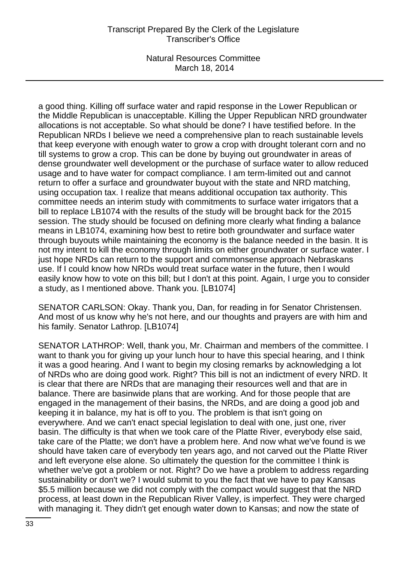Natural Resources Committee March 18, 2014

a good thing. Killing off surface water and rapid response in the Lower Republican or the Middle Republican is unacceptable. Killing the Upper Republican NRD groundwater allocations is not acceptable. So what should be done? I have testified before. In the Republican NRDs I believe we need a comprehensive plan to reach sustainable levels that keep everyone with enough water to grow a crop with drought tolerant corn and no till systems to grow a crop. This can be done by buying out groundwater in areas of dense groundwater well development or the purchase of surface water to allow reduced usage and to have water for compact compliance. I am term-limited out and cannot return to offer a surface and groundwater buyout with the state and NRD matching, using occupation tax. I realize that means additional occupation tax authority. This committee needs an interim study with commitments to surface water irrigators that a bill to replace LB1074 with the results of the study will be brought back for the 2015 session. The study should be focused on defining more clearly what finding a balance means in LB1074, examining how best to retire both groundwater and surface water through buyouts while maintaining the economy is the balance needed in the basin. It is not my intent to kill the economy through limits on either groundwater or surface water. I just hope NRDs can return to the support and commonsense approach Nebraskans use. If I could know how NRDs would treat surface water in the future, then I would easily know how to vote on this bill; but I don't at this point. Again, I urge you to consider a study, as I mentioned above. Thank you. [LB1074]

SENATOR CARLSON: Okay. Thank you, Dan, for reading in for Senator Christensen. And most of us know why he's not here, and our thoughts and prayers are with him and his family. Senator Lathrop. [LB1074]

SENATOR LATHROP: Well, thank you, Mr. Chairman and members of the committee. I want to thank you for giving up your lunch hour to have this special hearing, and I think it was a good hearing. And I want to begin my closing remarks by acknowledging a lot of NRDs who are doing good work. Right? This bill is not an indictment of every NRD. It is clear that there are NRDs that are managing their resources well and that are in balance. There are basinwide plans that are working. And for those people that are engaged in the management of their basins, the NRDs, and are doing a good job and keeping it in balance, my hat is off to you. The problem is that isn't going on everywhere. And we can't enact special legislation to deal with one, just one, river basin. The difficulty is that when we took care of the Platte River, everybody else said, take care of the Platte; we don't have a problem here. And now what we've found is we should have taken care of everybody ten years ago, and not carved out the Platte River and left everyone else alone. So ultimately the question for the committee I think is whether we've got a problem or not. Right? Do we have a problem to address regarding sustainability or don't we? I would submit to you the fact that we have to pay Kansas \$5.5 million because we did not comply with the compact would suggest that the NRD process, at least down in the Republican River Valley, is imperfect. They were charged with managing it. They didn't get enough water down to Kansas; and now the state of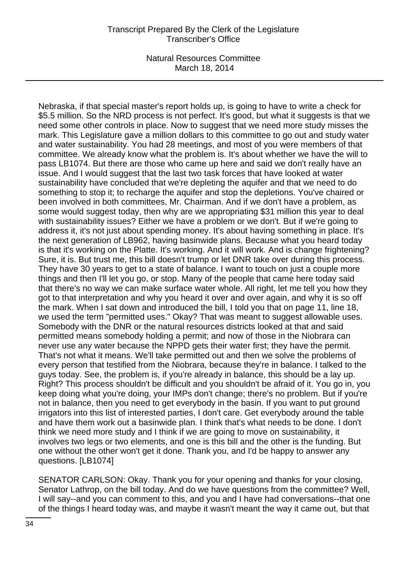Natural Resources Committee March 18, 2014

Nebraska, if that special master's report holds up, is going to have to write a check for \$5.5 million. So the NRD process is not perfect. It's good, but what it suggests is that we need some other controls in place. Now to suggest that we need more study misses the mark. This Legislature gave a million dollars to this committee to go out and study water and water sustainability. You had 28 meetings, and most of you were members of that committee. We already know what the problem is. It's about whether we have the will to pass LB1074. But there are those who came up here and said we don't really have an issue. And I would suggest that the last two task forces that have looked at water sustainability have concluded that we're depleting the aquifer and that we need to do something to stop it; to recharge the aquifer and stop the depletions. You've chaired or been involved in both committees, Mr. Chairman. And if we don't have a problem, as some would suggest today, then why are we appropriating \$31 million this year to deal with sustainability issues? Either we have a problem or we don't. But if we're going to address it, it's not just about spending money. It's about having something in place. It's the next generation of LB962, having basinwide plans. Because what you heard today is that it's working on the Platte. It's working. And it will work. And is change frightening? Sure, it is. But trust me, this bill doesn't trump or let DNR take over during this process. They have 30 years to get to a state of balance. I want to touch on just a couple more things and then I'll let you go, or stop. Many of the people that came here today said that there's no way we can make surface water whole. All right, let me tell you how they got to that interpretation and why you heard it over and over again, and why it is so off the mark. When I sat down and introduced the bill, I told you that on page 11, line 18, we used the term "permitted uses." Okay? That was meant to suggest allowable uses. Somebody with the DNR or the natural resources districts looked at that and said permitted means somebody holding a permit; and now of those in the Niobrara can never use any water because the NPPD gets their water first; they have the permit. That's not what it means. We'll take permitted out and then we solve the problems of every person that testified from the Niobrara, because they're in balance. I talked to the guys today. See, the problem is, if you're already in balance, this should be a lay up. Right? This process shouldn't be difficult and you shouldn't be afraid of it. You go in, you keep doing what you're doing, your IMPs don't change; there's no problem. But if you're not in balance, then you need to get everybody in the basin. If you want to put ground irrigators into this list of interested parties, I don't care. Get everybody around the table and have them work out a basinwide plan. I think that's what needs to be done. I don't think we need more study and I think if we are going to move on sustainability, it involves two legs or two elements, and one is this bill and the other is the funding. But one without the other won't get it done. Thank you, and I'd be happy to answer any questions. [LB1074]

SENATOR CARLSON: Okay. Thank you for your opening and thanks for your closing, Senator Lathrop, on the bill today. And do we have questions from the committee? Well, I will say--and you can comment to this, and you and I have had conversations--that one of the things I heard today was, and maybe it wasn't meant the way it came out, but that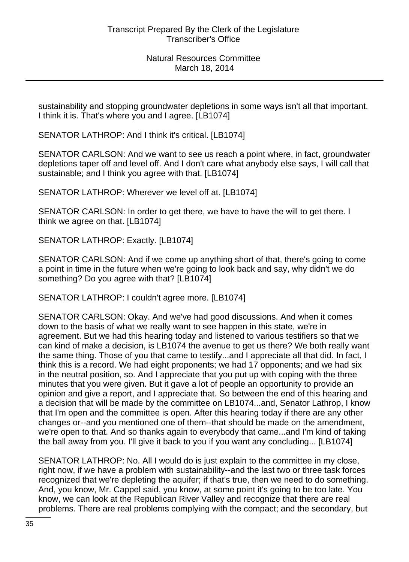sustainability and stopping groundwater depletions in some ways isn't all that important. I think it is. That's where you and I agree. [LB1074]

SENATOR LATHROP: And I think it's critical. [LB1074]

SENATOR CARLSON: And we want to see us reach a point where, in fact, groundwater depletions taper off and level off. And I don't care what anybody else says, I will call that sustainable; and I think you agree with that. [LB1074]

SENATOR LATHROP: Wherever we level off at. [LB1074]

SENATOR CARLSON: In order to get there, we have to have the will to get there. I think we agree on that. [LB1074]

SENATOR LATHROP: Exactly. [LB1074]

SENATOR CARLSON: And if we come up anything short of that, there's going to come a point in time in the future when we're going to look back and say, why didn't we do something? Do you agree with that? [LB1074]

SENATOR LATHROP: I couldn't agree more. [LB1074]

SENATOR CARLSON: Okay. And we've had good discussions. And when it comes down to the basis of what we really want to see happen in this state, we're in agreement. But we had this hearing today and listened to various testifiers so that we can kind of make a decision, is LB1074 the avenue to get us there? We both really want the same thing. Those of you that came to testify...and I appreciate all that did. In fact, I think this is a record. We had eight proponents; we had 17 opponents; and we had six in the neutral position, so. And I appreciate that you put up with coping with the three minutes that you were given. But it gave a lot of people an opportunity to provide an opinion and give a report, and I appreciate that. So between the end of this hearing and a decision that will be made by the committee on LB1074...and, Senator Lathrop, I know that I'm open and the committee is open. After this hearing today if there are any other changes or--and you mentioned one of them--that should be made on the amendment, we're open to that. And so thanks again to everybody that came...and I'm kind of taking the ball away from you. I'll give it back to you if you want any concluding... [LB1074]

SENATOR LATHROP: No. All I would do is just explain to the committee in my close, right now, if we have a problem with sustainability--and the last two or three task forces recognized that we're depleting the aquifer; if that's true, then we need to do something. And, you know, Mr. Cappel said, you know, at some point it's going to be too late. You know, we can look at the Republican River Valley and recognize that there are real problems. There are real problems complying with the compact; and the secondary, but